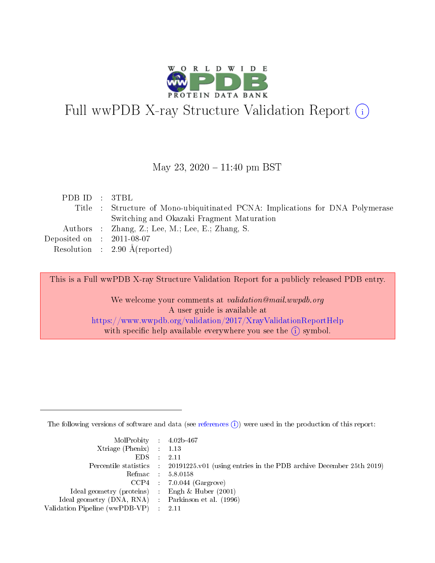

# Full wwPDB X-ray Structure Validation Report (i)

#### May 23,  $2020 - 11:40$  pm BST

| PDB ID : 3TBL                        |                                                                               |
|--------------------------------------|-------------------------------------------------------------------------------|
|                                      | Title : Structure of Mono-ubiquitinated PCNA: Implications for DNA Polymerase |
|                                      | Switching and Okazaki Fragment Maturation                                     |
|                                      | Authors : Zhang, Z.; Lee, M.; Lee, E.; Zhang, S.                              |
| Deposited on $\therefore$ 2011-08-07 |                                                                               |
|                                      | Resolution : $2.90 \text{ Å}$ (reported)                                      |

This is a Full wwPDB X-ray Structure Validation Report for a publicly released PDB entry.

We welcome your comments at validation@mail.wwpdb.org A user guide is available at <https://www.wwpdb.org/validation/2017/XrayValidationReportHelp> with specific help available everywhere you see the  $(i)$  symbol.

The following versions of software and data (see [references](https://www.wwpdb.org/validation/2017/XrayValidationReportHelp#references)  $(i)$ ) were used in the production of this report:

| $MolProbability$ 4.02b-467                          |                                                                                            |
|-----------------------------------------------------|--------------------------------------------------------------------------------------------|
| Xtriage (Phenix) $: 1.13$                           |                                                                                            |
| $EDS$ :                                             | -2.11                                                                                      |
|                                                     | Percentile statistics : 20191225.v01 (using entries in the PDB archive December 25th 2019) |
|                                                     | Refmac : 5.8.0158                                                                          |
|                                                     | $CCP4$ : 7.0.044 (Gargrove)                                                                |
| Ideal geometry (proteins) : Engh $\&$ Huber (2001)  |                                                                                            |
| Ideal geometry (DNA, RNA) : Parkinson et al. (1996) |                                                                                            |
| Validation Pipeline (wwPDB-VP)                      | -2.11                                                                                      |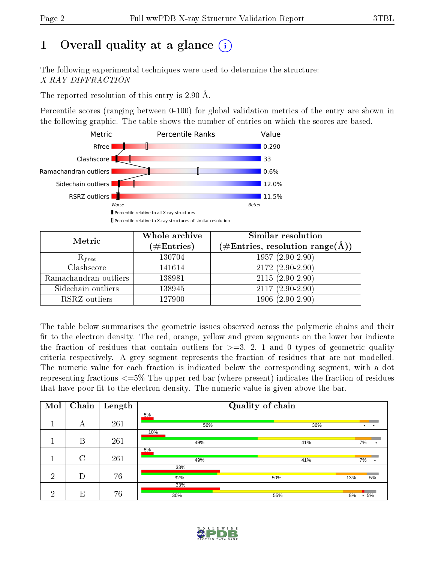# 1 [O](https://www.wwpdb.org/validation/2017/XrayValidationReportHelp#overall_quality)verall quality at a glance  $(i)$

The following experimental techniques were used to determine the structure: X-RAY DIFFRACTION

The reported resolution of this entry is 2.90 Å.

Percentile scores (ranging between 0-100) for global validation metrics of the entry are shown in the following graphic. The table shows the number of entries on which the scores are based.



| Metric                | Whole archive        | Similar resolution                                         |
|-----------------------|----------------------|------------------------------------------------------------|
|                       | $(\#\text{Entries})$ | $(\#\text{Entries}, \text{resolution range}(\text{\AA})\)$ |
| $R_{free}$            | 130704               | $1957(2.90-2.90)$                                          |
| Clashscore            | 141614               | $2172(2.90-2.90)$                                          |
| Ramachandran outliers | 138981               | $2115(2.90-2.90)$                                          |
| Sidechain outliers    | 138945               | $2117(2.90-2.90)$                                          |
| RSRZ outliers         | 127900               | $1906(2.90-2.90)$                                          |

The table below summarises the geometric issues observed across the polymeric chains and their fit to the electron density. The red, orange, yellow and green segments on the lower bar indicate the fraction of residues that contain outliers for  $>=3, 2, 1$  and 0 types of geometric quality criteria respectively. A grey segment represents the fraction of residues that are not modelled. The numeric value for each fraction is indicated below the corresponding segment, with a dot representing fractions  $\epsilon=5\%$  The upper red bar (where present) indicates the fraction of residues that have poor fit to the electron density. The numeric value is given above the bar.

| Mol | Chain  | Length |            | Quality of chain |                        |
|-----|--------|--------|------------|------------------|------------------------|
|     | А      | 261    | 5%<br>56%  | 36%              | $\bullet$<br>$\bullet$ |
|     |        |        | 10%        |                  |                        |
|     | B      | 261    | 49%<br>5%  | 41%              | 7%                     |
|     | $\cap$ | 261    | 49%        | 41%              | 7%                     |
| ച   | D      | 76     | 33%        |                  |                        |
|     |        |        | 32%<br>33% | 50%              | 5%<br>13%              |
| ച   | E      | 76     | 30%        | 55%              | $.5\%$<br>8%           |

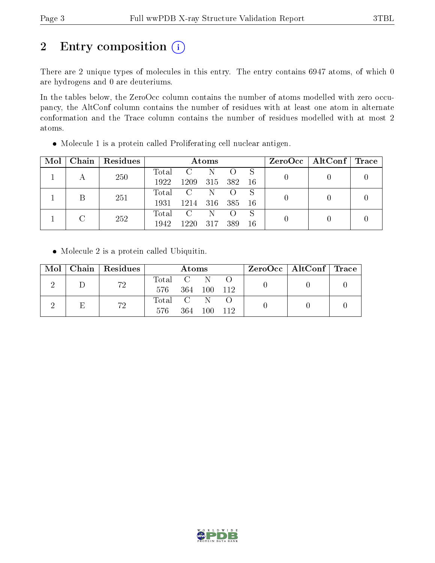# 2 Entry composition (i)

There are 2 unique types of molecules in this entry. The entry contains 6947 atoms, of which 0 are hydrogens and 0 are deuteriums.

In the tables below, the ZeroOcc column contains the number of atoms modelled with zero occupancy, the AltConf column contains the number of residues with at least one atom in alternate conformation and the Trace column contains the number of residues modelled with at most 2 atoms.

| Mol | Chain   Residues | Atoms |               |         |                  | $ZeroOcc \mid AltConf \mid Trace$ |  |  |
|-----|------------------|-------|---------------|---------|------------------|-----------------------------------|--|--|
|     | 250              | Total | $\mathbf{C}$  | -N      |                  | -S                                |  |  |
|     |                  | 1922  | 1209          | 315 382 |                  | - 16                              |  |  |
|     | 251              | Total | $\rm C$       | -N-     |                  | S                                 |  |  |
|     |                  | 1931  | 1214 316 385  |         |                  | - 16                              |  |  |
|     | 252              | Total | $\mathcal{C}$ | -N      | $\left( \right)$ | S                                 |  |  |
|     |                  | 1942  | 1220          | 317     | 389              | 16                                |  |  |

Molecule 1 is a protein called Proliferating cell nuclear antigen.

• Molecule 2 is a protein called Ubiquitin.

| Mol |    | Chain   Residues | Atoms                                                   |                  |      | $ZeroOcc \   \ AltConf \   \ Trace$ |  |  |
|-----|----|------------------|---------------------------------------------------------|------------------|------|-------------------------------------|--|--|
|     |    | 72               | Total                                                   | $\overline{C}$ N |      |                                     |  |  |
|     |    | 576 -            | 364 100 112                                             |                  |      |                                     |  |  |
|     |    |                  | $\begin{bmatrix} \text{Total} & \text{C} \end{bmatrix}$ |                  |      |                                     |  |  |
| Ε   | 72 | 576              | 364                                                     | 100              | -112 |                                     |  |  |

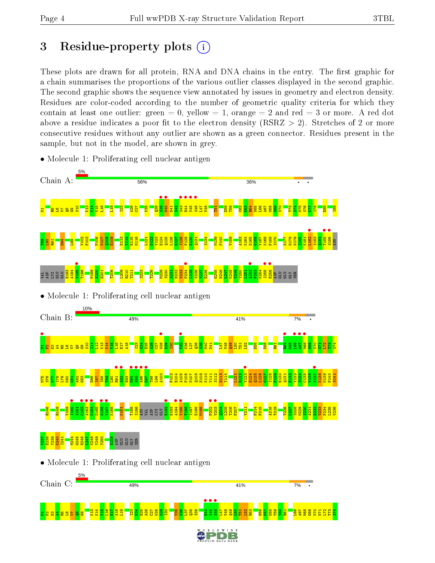## 3 Residue-property plots  $(i)$

These plots are drawn for all protein, RNA and DNA chains in the entry. The first graphic for a chain summarises the proportions of the various outlier classes displayed in the second graphic. The second graphic shows the sequence view annotated by issues in geometry and electron density. Residues are color-coded according to the number of geometric quality criteria for which they contain at least one outlier: green  $= 0$ , yellow  $= 1$ , orange  $= 2$  and red  $= 3$  or more. A red dot above a residue indicates a poor fit to the electron density (RSRZ  $> 2$ ). Stretches of 2 or more consecutive residues without any outlier are shown as a green connector. Residues present in the sample, but not in the model, are shown in grey.



• Molecule 1: Proliferating cell nuclear antigen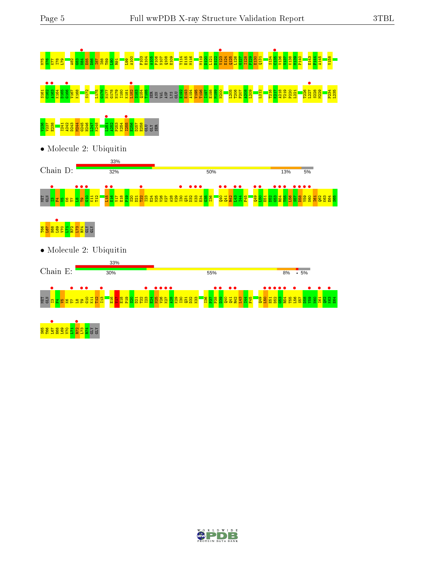

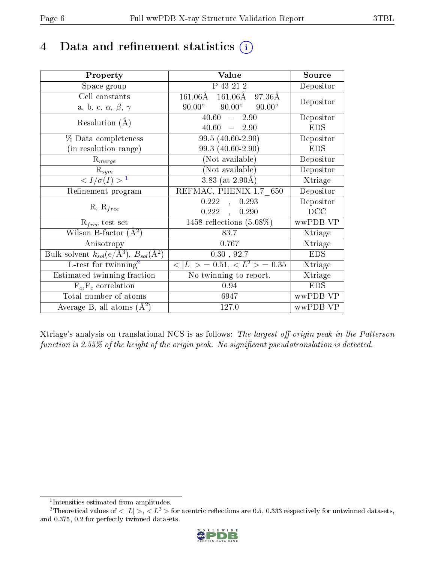## 4 Data and refinement statistics  $(i)$

| Property                                                   | Value                                           | Source     |
|------------------------------------------------------------|-------------------------------------------------|------------|
| Space group                                                | P 43 21 2                                       | Depositor  |
| Cell constants                                             | 161.06Å 161.06Å 97.36Å                          | Depositor  |
| a, b, c, $\alpha$ , $\beta$ , $\gamma$                     | $90.00^\circ$<br>$90.00^\circ$<br>$90.00^\circ$ |            |
| Resolution $(A)$                                           | 40.60<br>$-2.90$                                | Depositor  |
|                                                            | $40.60 - 2.90$                                  | <b>EDS</b> |
| $\%$ Data completeness                                     | 99.5 (40.60-2.90)                               | Depositor  |
| (in resolution range)                                      | 99.3 (40.60-2.90)                               | <b>EDS</b> |
| $R_{merge}$                                                | (Not available)                                 | Depositor  |
| $\mathrm{R}_{sym}$                                         | $(Not\ avariable)$                              | Depositor  |
| $\langle I/\sigma(I) \rangle^{-1}$                         | $3.83$ (at 2.90Å)                               | Xtriage    |
| Refinement program                                         | REFMAC, PHENIX 1.7 650                          | Depositor  |
|                                                            | 0.222<br>0.293<br>$\overline{a}$                | Depositor  |
| $R, R_{free}$                                              | 0.222,<br>0.290                                 | DCC        |
| $R_{free}$ test set                                        | 1458 reflections $(5.08\%)$                     | wwPDB-VP   |
| Wilson B-factor $(A^2)$                                    | 83.7                                            | Xtriage    |
| Anisotropy                                                 | 0.767                                           | Xtriage    |
| Bulk solvent $k_{sol}$ (e/Å <sup>3</sup> ), $B_{sol}(A^2)$ | 0.30, 92.7                                      | <b>EDS</b> |
| L-test for $\mathrm{twinning}^2$                           | $< L >$ = 0.51, $< L2$ > = 0.35                 | Xtriage    |
| Estimated twinning fraction                                | No twinning to report.                          | Xtriage    |
| $\overline{F_o}, \overline{F_c}$ correlation               | 0.94                                            | <b>EDS</b> |
| Total number of atoms                                      | 6947                                            | wwPDB-VP   |
| Average B, all atoms $(A^2)$                               | 127.0                                           | wwPDB-VP   |

Xtriage's analysis on translational NCS is as follows: The largest off-origin peak in the Patterson function is 2.55% of the height of the origin peak. No significant pseudotranslation is detected.

<sup>&</sup>lt;sup>2</sup>Theoretical values of  $\langle |L| \rangle$ ,  $\langle L^2 \rangle$  for acentric reflections are 0.5, 0.333 respectively for untwinned datasets, and 0.375, 0.2 for perfectly twinned datasets.



<span id="page-5-1"></span><span id="page-5-0"></span><sup>1</sup> Intensities estimated from amplitudes.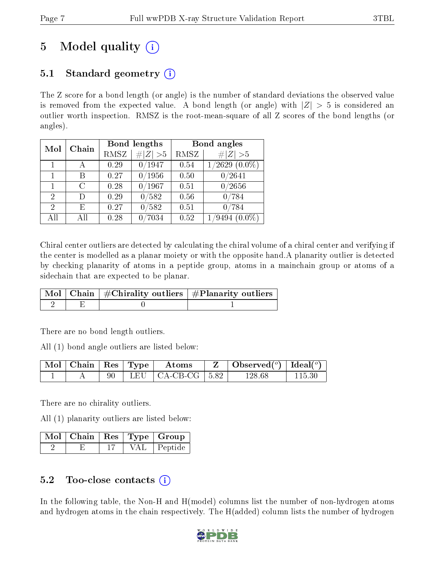# 5 Model quality  $(i)$

### 5.1 Standard geometry  $\overline{()}$

The Z score for a bond length (or angle) is the number of standard deviations the observed value is removed from the expected value. A bond length (or angle) with  $|Z| > 5$  is considered an outlier worth inspection. RMSZ is the root-mean-square of all Z scores of the bond lengths (or angles).

| Mol            | Chain |      | Bond lengths | Bond angles |                              |  |
|----------------|-------|------|--------------|-------------|------------------------------|--|
|                |       | RMSZ | # $ Z  > 5$  | RMSZ        | # $ Z  > 5$                  |  |
|                |       | 0.29 | 0/1947       | 0.54        | $^{\prime}2629$<br>$(0.0\%)$ |  |
| 1              | В     | 0.27 | 0/1956       | 0.50        | /2641                        |  |
| 1              | C     | 0.28 | 0/1967       | 0.51        | 0/2656                       |  |
| $\overline{2}$ | D)    | 0.29 | /582         | 0.56        | $^{\prime}784$<br>07         |  |
| 2              | Е     | 0.27 | /582         | 0.51        | 0/784                        |  |
| All            | Αll   | 0.28 | 7034         | 0.52        | $^\prime\!9494$<br>$(0.0\%)$ |  |

Chiral center outliers are detected by calculating the chiral volume of a chiral center and verifying if the center is modelled as a planar moiety or with the opposite hand.A planarity outlier is detected by checking planarity of atoms in a peptide group, atoms in a mainchain group or atoms of a sidechain that are expected to be planar.

|  | $\boxed{\text{Mol} \mid \text{Chain} \mid \# \text{Chirality outliers} \mid \# \text{Planarity outliers}}$ |
|--|------------------------------------------------------------------------------------------------------------|
|  |                                                                                                            |

There are no bond length outliers.

All (1) bond angle outliers are listed below:

|  |  | $\vert$ Mol $\vert$ Chain $\vert$ Res $\vert$ Type $\vert$ Atoms |  | $\vert Z \vert$ Observed( <sup>o</sup> )   Ideal( <sup>o</sup> ) |        |
|--|--|------------------------------------------------------------------|--|------------------------------------------------------------------|--------|
|  |  | 90   LEU   CA-CB-CG   $5.82$                                     |  | 128.68                                                           | 115.30 |

There are no chirality outliers.

All (1) planarity outliers are listed below:

|  |  | Mol   Chain   Res   Type   Group |
|--|--|----------------------------------|
|  |  | VAL   Peptide                    |

### 5.2 Too-close contacts  $(i)$

In the following table, the Non-H and H(model) columns list the number of non-hydrogen atoms and hydrogen atoms in the chain respectively. The H(added) column lists the number of hydrogen

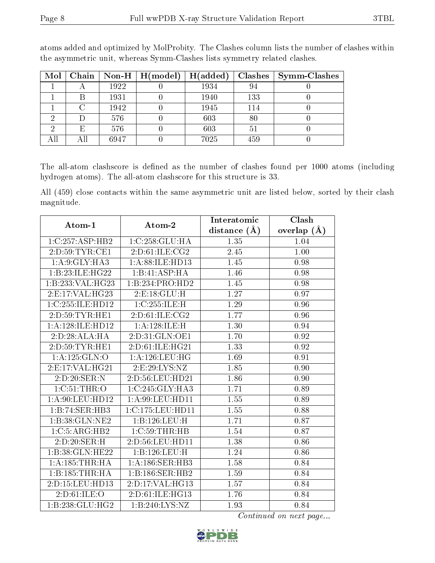| Mol |     |      | Chain   Non-H   H(model) | H(added) | Clashes <sup>1</sup> | <b>Symm-Clashes</b> |
|-----|-----|------|--------------------------|----------|----------------------|---------------------|
|     |     | 1922 |                          | 1934     | 94                   |                     |
|     |     | 1931 |                          | 1940     | 133                  |                     |
|     |     | 1942 |                          | 1945     | 114                  |                     |
|     | Ð   | 576  |                          | 603      | 80                   |                     |
|     | E   | 576  |                          | 603      | 51                   |                     |
|     | Αll | 6947 |                          | 7025     | 459                  |                     |

atoms added and optimized by MolProbity. The Clashes column lists the number of clashes within the asymmetric unit, whereas Symm-Clashes lists symmetry related clashes.

The all-atom clashscore is defined as the number of clashes found per 1000 atoms (including hydrogen atoms). The all-atom clashscore for this structure is 33.

All (459) close contacts within the same asymmetric unit are listed below, sorted by their clash magnitude.

| Atom-1              | Atom-2               | Interatomic    | Clash         |
|---------------------|----------------------|----------------|---------------|
|                     |                      | distance $(A)$ | overlap $(A)$ |
| 1:C:257:ASP:HB2     | 1:C:258:GLU:HA       | 1.35           | 1.04          |
| 2:D:59:TYR:CE1      | 2:D:61:ILE:CG2       | 2.45           | 1.00          |
| 1: A:9: GLY: HA3    | 1: A:88: ILE: HD13   | 1.45           | 0.98          |
| 1:B:23:ILE:HG22     | 1:B:41:ASP:HA        | 1.46           | 0.98          |
| 1:B:233:VAL:HG23    | 1:B:234:PRO:HD2      | 1.45           | 0.98          |
| 2: E: 17: VAL: HG23 | 2: E: 18: GLU: H     | 1.27           | 0.97          |
| 1:C:255:ILE:HD12    | 1:C:255:ILE:H        | 1.29           | 0.96          |
| 2: D: 59: TYR: HE1  | 2:D:61:ILE:CG2       | 1.77           | 0.96          |
| 1:A:128:ILE:HD12    | 1:A:128:ILE:H        | 1.30           | 0.94          |
| 2:D:28:ALA:HA       | 2:D:31:GLN:OE1       | 1.70           | 0.92          |
| 2: D: 59: TYR: HE1  | 2:D:61:ILE:HG21      | 1.33           | 0.92          |
| 1: A: 125: GLN: O   | 1: A:126:LEU:HG      | 1.69           | 0.91          |
| 2: E: 17: VAL: HG21 | 2: E: 29: LYS: NZ    | 1.85           | 0.90          |
| 2:D:20:SER:N        | 2:D:56:LEU:HD21      | 1.86           | 0.90          |
| 1:C:51:THR:O        | 1:C:245:GLY:HA3      | 1.71           | 0.89          |
| 1: A:90: LEU: HD12  | 1:A:99:LEU:HD11      | 1.55           | 0.89          |
| 1:B:74:SER:HB3      | 1:C:175:LEU:HD11     | 1.55           | 0.88          |
| 1:B:38:GLN:NE2      | 1:B:126:LEU:H        | 1.71           | 0.87          |
| 1:C:5:ARG:HB2       | $1:C:59$ : THR: HB   | 1.54           | 0.87          |
| 2:D:20:SER:H        | 2:D:56:LEU:HD11      | 1.38           | 0.86          |
| 1:B:38:GLN:HE22     | 1:B:126:LEU:H        | 1.24           | 0.86          |
| 1: A: 185: THR: HA  | $1: A: 186:$ SER:HB3 | 1.58           | 0.84          |
| 1:B:185:THR:HA      | 1:B:186:SER:HB2      | 1.59           | 0.84          |
| 2:D:15:LEU:HD13     | 2:D:17:VAL:HG13      | 1.57           | 0.84          |
| 2:D:61:ILE:O        | 2:D:61:ILE:HG13      | 1.76           | 0.84          |
| 1:B:238:GLU:HG2     | 1:B:240:LYS:NZ       | 1.93           | 0.84          |

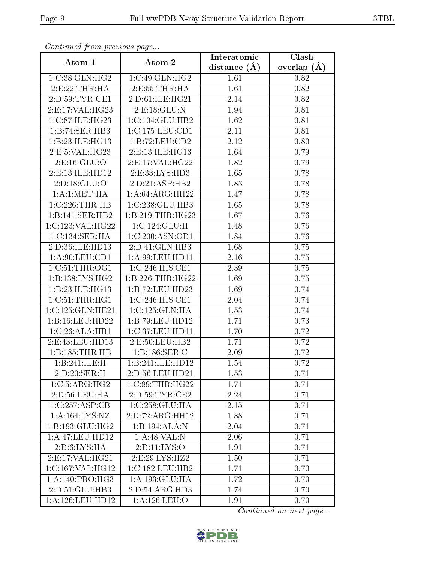| Continuation providuo puga |                            | Interatomic      | Clash         |
|----------------------------|----------------------------|------------------|---------------|
| Atom-1                     | Atom-2                     | distance $(\AA)$ | overlap $(A)$ |
| 1:C:38:GLN:HG2             | 1:C:49:GLN:HG2             | 1.61             | 0.82          |
| 2:E:22:THR:H               | 2:E:55:THR:H               | 1.61             | 0.82          |
| 2:D:59:TYR:CE1             | 2:D:61:ILE:HG21            | 2.14             | 0.82          |
| 2:E:17:VAL:HG23            | 2: E: 18: GLU: N           | 1.94             | 0.81          |
| 1:C:87:ILE:HG23            | 1:C:104:GLU:HB2            | 1.62             | 0.81          |
| 1:B:74:SER:HB3             | 1:C:175:LEU:CD1            | 2.11             | 0.81          |
| 1:B:23:ILE:HG13            | 1:B:72:LEU:CD2             | 2.12             | 0.80          |
| 2:E:5:VAL:HG23             | 2: E: 13: ILE: HG13        | 1.64             | 0.79          |
| 2: E: 16: GLU: O           | 2: E: 17: VAL:HG22         | 1.82             | 0.79          |
| 2:E:13:ILE:HD12            | 2:E:33:LYS:HD3             | 1.65             | 0.78          |
| 2:D:18:GLU:O               | 2:D:21:ASP:HB2             | 1.83             | 0.78          |
| 1:A:1:MET:HA               | 1: A:64: ARG:HH22          | 1.47             | 0.78          |
| $1:C:226$ : THR: HB        | 1:C:238:GLU:HB3            | 1.65             | 0.78          |
| 1:B:141:SER:HB2            | 1:B:219:THR:HG23           | 1.67             | 0.76          |
| 1:C:123:VAL:HG22           | $1:C:124:GLU:\overline{H}$ | 1.48             | 0.76          |
| 1: C: 134: SER: HA         | 1:C:200:ASN:OD1            | 1.84             | 0.76          |
| 2:D:36:ILE:HD13            | 2:D:41:GLN:HB3             | 1.68             | 0.75          |
| 1: A:90: LEU:CD1           | 1: A:99: LEU: HD11         | 2.16             | 0.75          |
| 1:C:51:THR:OG1             | 1:C:246:HIS:CE1            | 2.39             | 0.75          |
| 1:B:138:LYS:HG2            | 1:B:226:THR:HG22           | 1.69             | 0.75          |
| 1:B:23:ILE:HG13            | 1:B:72:LEU:HD23            | 1.69             | 0.74          |
| 1: C: 51: THR: HG1         | 1:C:246:HIS:CE1            | 2.04             | 0.74          |
| 1:C:125:GLN:HE21           | 1:C:125:GLN:HA             | 1.53             | 0.74          |
| 1:B:16:LEU:HD22            | 1:B:79:LEU:HD12            | 1.71             | 0.73          |
| 1:C:26:ALA:HB1             | 1:C:37:LEU:HDI1            | 1.70             | 0.72          |
| 2:E:43:LEU:HD13            | 2:E:50:LEU:HB2             | 1.71             | 0.72          |
| 1:B:185:THR:HB             | 1:B:186:SER:C              | 2.09             | 0.72          |
| 1:B:241:ILE:H              | 1:B:241:ILE:HD12           | 1.54             | 0.72          |
| 2:D:20:SER:H               | 2:D:56:LEU:HD21            | 1.53             | 0.71          |
| 1:C:5:ARG:HG2              | 1:C:89:THR:HG22            | 1.71             | 0.71          |
| 2:D:56:LEU:HA              | 2: D: 59: TYR: CE2         | 2.24             | 0.71          |
| 1:C:257:ASP:CB             | 1:C:258:GLU:HA             | 2.15             | 0.71          |
| 1: A: 164: LYS: NZ         | 2:D:72:ARG:HH12            | 1.88             | 0.71          |
| 1:B:193:GLU:HG2            | 1:B:194:ALA:N              | 2.04             | 0.71          |
| 1:A:47:LEU:HD12            | 1: A:48: VAL: N            | 2.06             | 0.71          |
| 2: D:6: LYS: HA            | 2:D:11:LYS:O               | 1.91             | 0.71          |
| 2: E: 17: VAL: HG21        | 2:E:29:LYS:HZ2             | 1.50             | 0.71          |
| 1:C:167:VAL:HG12           | 1:C:182:LEU:HB2            | 1.71             | 0.70          |
| 1:A:140:PRO:HG3            | 1:A:193:GLU:HA             | 1.72             | 0.70          |
| 2:D:51:GLU:HB3             | 2:D:54:ARG:HD3             | 1.74             | 0.70          |
| 1:A:126:LEU:HD12           | 1:A:126:LEU:O              | 1.91             | 0.70          |

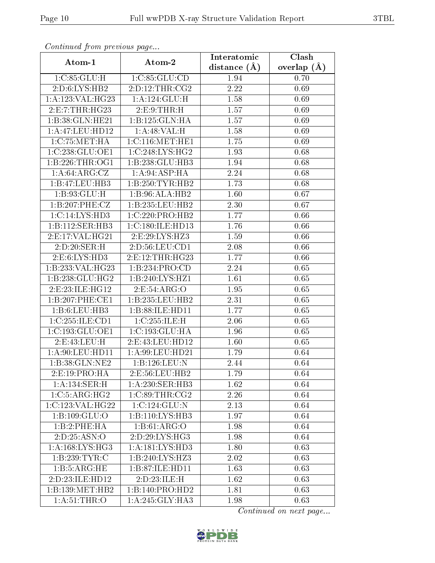| Comunaca jiom previous page |                             | Interatomic    | Clash           |
|-----------------------------|-----------------------------|----------------|-----------------|
| Atom-1                      | Atom-2                      | distance $(A)$ | overlap $(\AA)$ |
| 1:C:85:GLU:H                | 1:C:85:GLU:CD               | 1.94           | 0.70            |
| 2: D:6: LYS: HB2            | 2:D:12:THR:CG2              | 2.22           | 0.69            |
| 1: A:123: VAL:HG23          | 1:A:124:GLU:H               | 1.58           | 0.69            |
| 2:E:7:THR:HG23              | 2: E: 9: THR: H             | 1.57           | 0.69            |
| 1:B:38:GLN:HE21             | 1:B:125:GLN:HA              | 1.57           | 0.69            |
| 1:A:47:LEU:HD12             | 1:A:48:VAL:H                | 1.58           | 0.69            |
| 1:C:75:MET:HA               | 1:C:116:MET:HE1             | 1.75           | 0.69            |
| 1:C:238:GLU:OE1             | 1:C:248:LYS:HG2             | 1.93           | 0.68            |
| 1:B:226:THR:OG1             | 1:B:238:GLU:HB3             | 1.94           | 0.68            |
| 1: A:64: ARG: CZ            | 1: A:94: ASP: HA            | 2.24           | 0.68            |
| 1:B:47:LEU:HB3              | 1:B:250:TYR:HB2             | 1.73           | 0.68            |
| 1:B:93:GLU:H                | 1:B:96:ALA:HB2              | 1.60           | 0.67            |
| 1:B:207:PHE:CZ              | 1:B:235:LEU:HB2             | 2.30           | 0.67            |
| 1: C: 14: LYS: HD3          | 1:C:220:PRO:HB2             | 1.77           | 0.66            |
| 1:B:112:SER:HB3             | 1:C:180:ILE:HD13            | 1.76           | 0.66            |
| 2:E:17:VAL:HG21             | $2:E:29:LYS:H\overline{Z3}$ | 1.59           | 0.66            |
| 2:D:20:SER:H                | 2:D:56:LEU:CD1              | 2.08           | 0.66            |
| 2:E:6:LYS:HD3               | 2: E: 12: THR: HG23         | 1.77           | 0.66            |
| 1:B:233:VAL:HG23            | 1:B:234:PRO:CD              | 2.24           | 0.65            |
| 1:B:238:GLU:HG2             | 1:B:240:LYS:HZ1             | 1.61           | 0.65            |
| 2: E: 23: ILE: HG12         | 2:E:54:ARG:O                | 1.95           | 0.65            |
| 1:B:207:PHE:CE1             | 1:B:235:LEU:HB2             | 2.31           | 0.65            |
| 1:B:6:LEU:HB3               | 1:B:88:ILE:HD11             | 1.77           | 0.65            |
| 1:C:255:ILE:CD1             | 1:C:255:ILE:H               | 2.06           | 0.65            |
| 1:C:193:GLU:OE1             | 1:C:193:GLU:HA              | 1.96           | 0.65            |
| 2: E: 43: LEU: H            | 2:E:43:LEU:HD12             | 1.60           | 0.65            |
| 1: A:90:LEU:HD11            | 1:A:99:LEU:HD21             | 1.79           | 0.64            |
| 1:B:38:GLN:NE2              | 1:B:126:LEU:N               | 2.44           | 0.64            |
| 2:E:19:PRO:HA               | 2:E:56:LEU:HB2              | 1.79           | 0.64            |
| 1:A:134:SER:H               | 1: A:230: SER:HB3           | 1.62           | 0.64            |
| 1:C:5:ARG:HG2               | 1:C:89:THR:CG2              | 2.26           | 0.64            |
| 1:C:123:VAL:HG22            | 1:C:124:GLU:N               | 2.13           | 0.64            |
| 1:B:109:GLU:O               | 1:B:110:LYS:HB3             | 1.97           | 0.64            |
| 1:B:2:PHE:HA                | 1:B:61:ARG:O                | 1.98           | 0.64            |
| 2:D:25:ASN:O                | 2:D:29:LYS:HG3              | 1.98           | 0.64            |
| 1: A: 168: LYS: HG3         | 1: A: 181: LYS: HD3         | 1.80           | 0.63            |
| 1:B:239:TYR:C               | 1:B:240:LYS:HZ3             | 2.02           | 0.63            |
| 1:B:5:ARG:HE                | 1:B:87:ILE:HD11             | 1.63           | 0.63            |
| 2:D:23:ILE:HD12             | 2:D:23:ILE:H                | 1.62           | 0.63            |
| 1:B:139:MET:HB2             | 1:B:140:PRO:HD2             | 1.81           | 0.63            |
| 1: A:51:THR:O               | 1:A:245:GLY:HA3             | 1.98           | 0.63            |

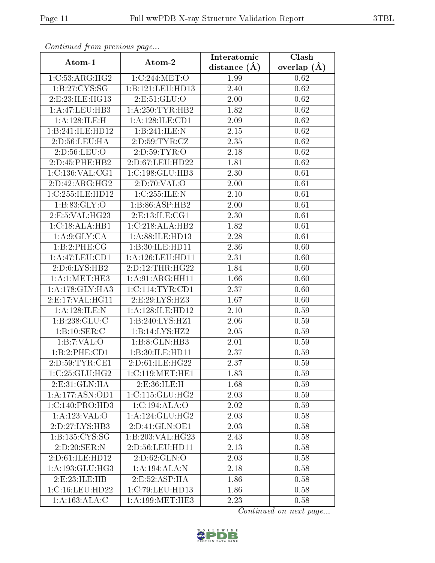| Commaca jibin previous page |                                     | Interatomic    | Clash           |
|-----------------------------|-------------------------------------|----------------|-----------------|
| Atom-1                      | Atom-2                              | distance $(A)$ | overlap $(\AA)$ |
| 1:C:53:ARG:HG2              | 1:C:244:MET:O                       | 1.99           | 0.62            |
| 1: B: 27: CYS: SG           | 1:B:121:LEU:HD13                    | 2.40           | 0.62            |
| 2: E: 23: ILE: HG13         | 2:E:51:GLU:O                        | 2.00           | 0.62            |
| 1:A:47:LEU:HB3              | 1: A:250:TYR:HB2                    | 1.82           | 0.62            |
| 1: A:128: ILE:H             | 1: A:128: ILE: CD1                  | 2.09           | 0.62            |
| 1:B:241:ILE:HD12            | 1:B:241:ILE:N                       | 2.15           | 0.62            |
| 2:D:56:LEU:HA               | 2: D: 59: TYR: CZ                   | 2.35           | 0.62            |
| 2:D:56:LEU:O                | 2:D:59:TYR:O                        | 2.18           | 0.62            |
| 2:D:45:PHE:HB2              | 2:D:67:LEU:HD22                     | 1.81           | 0.62            |
| 1:C:136:VAL:CG1             | 1:C:198:GLU:HB3                     | 2.30           | 0.61            |
| 2:D:42:ARG:HG2              | 2:D:70:VAL:O                        | 2.00           | 0.61            |
| 1:C:255:ILE:HD12            | 1:C:255:ILE:N                       | 2.10           | 0.61            |
| 1: B:83: GLY:O              | 1:B:86:ASP:HB2                      | 2.00           | 0.61            |
| 2: E: 5: VAL:HG23           | 2: E: 13: ILE: CG1                  | 2.30           | 0.61            |
| 1:C:18:ALA:HB1              | 1:C:218:ALA:HB2                     | 1.82           | 0.61            |
| 1: A:9: GLY: CA             | 1: A:88: ILE: HD13                  | 2.28           | 0.61            |
| 1:B:2:PHE:CG                | 1:B:30:ILE:HD11                     | 2.36           | 0.60            |
| 1:A:47:LEU:CD1              | 1:A:126:LEU:HD11                    | 2.31           | 0.60            |
| 2:D:6:LYS:HB2               | 2:D:12:THR:HG22                     | 1.84           | 0.60            |
| 1:A:1:MET:HE3               | 1: A:91: ARG:HH11                   | 1.66           | 0.60            |
| 1:A:178:GLY:HA3             | 1: C: 114: TYR: CD1                 | 2.37           | 0.60            |
| 2:E:17:VAL:HG11             | 2:E:29:LYS:HZ3                      | 1.67           | 0.60            |
| 1: A:128: ILE:N             | 1: A: 128: ILE: HD12                | 2.10           | 0.59            |
| 1: B: 238: GLU: C           | 1: B:240: LYS: HZ1                  | 2.06           | 0.59            |
| 1:B:10:SER:C                | 1:B:14:LYS:HZ2                      | 2.05           | 0.59            |
| 1:B:7:VAL:O                 | 1:B:8:GLN:HB3                       | 2.01           | 0.59            |
| 1:B:2:PHE:CD1               | 1:B:30:ILE:HD11                     | 2.37           | 0.59            |
| 2:D:59:TYR:CE1              | 2:D:61:ILE:HG22                     | 2.37           | 0.59            |
| 1:C:25:GLU:HG2              | 1:C:119:MET:HE1                     | 1.83           | 0.59            |
| 2: E:31: GLN: HA            | 2:E:36:ILE:H                        | 1.68           | 0.59            |
| 1:A:177:ASN:OD1             | 1: C: 115: GLU: HG2                 | 2.03           | 0.59            |
| 1:C:140:PRO:HD3             | 1:C:194:ALA:O                       | 2.02           | 0.59            |
| 1:A:123:VAL:O               | 1: A:124: GLU: HG2                  | 2.03           | 0.58            |
| 2:D:27:LYS:HB3              | 2:D:41:GLN:OE1                      | 2.03           | 0.58            |
| 1: B: 135: CYS: SG          | 1:B:203:VAL:HG23                    | 2.43           | 0.58            |
| 2:D:20:SER:N                | 2:D:56:LEU:HD11                     | 2.13           | 0.58            |
| 2:D:61:ILE:HD12             | 2: D:62: GLN:O                      | 2.03           | 0.58            |
| 1: A: 193: GLU: HG3         | $1:A:194:\overline{\mathrm{ALA:N}}$ | 2.18           | 0.58            |
| 2: E: 23: ILE: HB           | 2: E: 52: ASP: HA                   | 1.86           | 0.58            |
| 1:C:16:LEU:HD22             | 1:C:79:LEU:HD13                     | 1.86           | 0.58            |
| 1:A:163:ALA:C               | 1: A: 199: MET: HE3                 | 2.23           | 0.58            |

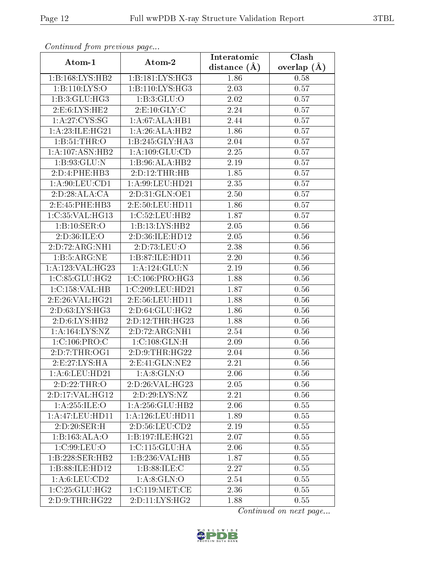| Continuatu jibin previous puge |                     | Interatomic       | Clash           |
|--------------------------------|---------------------|-------------------|-----------------|
| Atom-1                         | Atom-2              | distance $(\AA)$  | overlap $(\AA)$ |
| 1:B:168:LYS:HB2                | 1:B:181:LYS:HG3     | 1.86              | 0.58            |
| 1:B:110:LYS:O                  | 1: B: 110: LYS: HG3 | 2.03              | 0.57            |
| 1:B:3:GLU:HG3                  | 1: B:3: GLU:O       | 2.02              | 0.57            |
| 2: E:6: LYS: HE2               | 2: E: 10: GLY: C    | 2.24              | 0.57            |
| 1: A:27:CYS:SG                 | 1:A:67:ALA:HB1      | 2.44              | 0.57            |
| 1: A:23: ILE: HG21             | 1:A:26:ALA:HB2      | 1.86              | 0.57            |
| 1: B:51:THR:O                  | 1:B:245:GLY:HA3     | 2.04              | 0.57            |
| 1:A:107:ASN:HB2                | 1: A: 109: GLU: CD  | 2.25              | 0.57            |
| 1:B:93:GLU:N                   | 1:B:96:ALA:HB2      | 2.19              | 0.57            |
| 2:D:4:PHE:HB3                  | 2:D:12:THR:HB       | 1.85              | 0.57            |
| 1: A:90: LEU:CD1               | 1:A:99:LEU:HD21     | 2.35              | 0.57            |
| 2:D:28:ALA:CA                  | 2:D:31:GLN:OE1      | 2.50              | 0.57            |
| 2:E:45:PHE:HB3                 | 2:E:50:LEU:HD11     | 1.86              | 0.57            |
| 1:C:35:VAL:HG13                | 1:C:52:LEU:HB2      | 1.87              | 0.57            |
| 1:B:10:SER:O                   | 1:B:13:LYS:HB2      | 2.05              | 0.56            |
| 2:D:36:ILE:O                   | 2:D:36:ILE:HD12     | 2.05              | 0.56            |
| 2:D:72:ARG:NH1                 | 2:D:73:LEU:O        | 2.38              | 0.56            |
| 1:B:5:ARG:NE                   | 1:B:87:ILE:HD11     | 2.20              | 0.56            |
| 1:A:123:VAL:HG23               | 1: A: 124: GLU: N   | 2.19              | 0.56            |
| 1:C:85:GLU:HG2                 | 1:C:106:PRO:HG3     | 1.88              | 0.56            |
| 1:C:158:VAL:HB                 | 1:C:209:LEU:HD21    | 1.87              | 0.56            |
| 2:E:26:VAL:HG21                | 2:E:56:LEU:HD11     | 1.88              | 0.56            |
| 2:D:63:LYS:HG3                 | 2:D:64:GLU:HG2      | 1.86              | 0.56            |
| 2: D:6: LYS: HB2               | 2:D:12:THR:HG23     | 1.88              | 0.56            |
| 1: A: 164: LYS: NZ             | 2:D:72:ARG:NH1      | 2.54              | 0.56            |
| 1:C:106:PRO:C                  | 1:C:108:GLN:H       | 2.09              | 0.56            |
| 2: D: 7: THR: OG1              | 2: D: 9: THR: HG22  | 2.04              | 0.56            |
| 2: E: 27: LYS: HA              | 2: E: 41: GLN: NE2  | 2.21              | 0.56            |
| 1:A:6:LEU:HD21                 | 1: A:8: GLN:O       | 2.06              | 0.56            |
| 2:D:22:THR:O                   | 2:D:26:VAL:HG23     | 2.05              | 0.56            |
| 2:D:17:VAL:HG12                | 2:D:29:LYS:NZ       | $\overline{2}.21$ | 0.56            |
| 1:A:255:ILE:O                  | 1: A:256: GLU:HB2   | 2.06              | 0.55            |
| 1: A:47: LEU: HD11             | 1:A:126:LEU:HD11    | 1.89              | 0.55            |
| 2:D:20:SER:H                   | 2: D: 56: LEU: CD2  | 2.19              | 0.55            |
| 1:B:163:ALA:O                  | 1:B:197:ILE:HG21    | 2.07              | 0.55            |
| 1:C:99:LEU:O                   | 1:C:115:GLU:HA      | 2.06              | 0.55            |
| 1:B:228:SER:HB2                | 1:B:236:VAL:HB      | 1.87              | 0.55            |
| 1:B:88:ILE:HD12                | 1: B:88: ILE:C      | 2.27              | 0.55            |
| 1: A:6: LEU:CD2                | 1: A:8: GLN:O       | 2.54              | 0.55            |
| 1:C:25:GLU:HG2                 | 1:C:119:MET:CE      | 2.36              | 0.55            |
| 2:D:9:THR:HG22                 | 2: D: 11: LYS: HG2  | 1.88              | 0.55            |

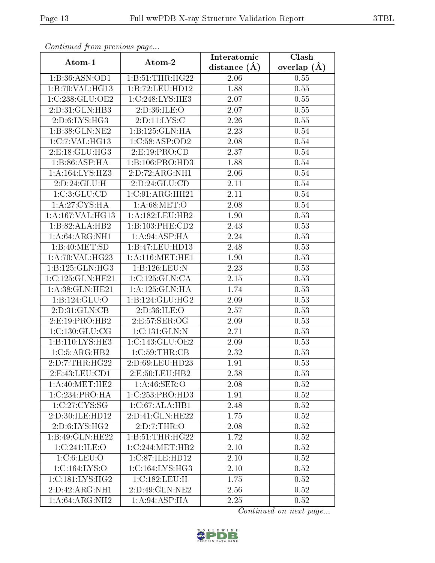| Commaca jibin previous page         |                     | Interatomic       | Clash           |
|-------------------------------------|---------------------|-------------------|-----------------|
| Atom-1                              | Atom-2              | distance $(A)$    | overlap $(\AA)$ |
| 1:B:36:ASN:OD1                      | 1:B:51:THR:HG22     | 2.06              | 0.55            |
| 1:B:70:VAL:HG13                     | 1:B:72:LEU:HD12     | 1.88              | 0.55            |
| 1:C:238:GLU:OE2                     | 1:C:248:LYS:HE3     | 2.07              | 0.55            |
| 2:D:31:GLN:HB3                      | 2:D:36:ILE:O        | 2.07              | 0.55            |
| 2: D:6: LYS: HG3                    | 2:D:11:LYS:C        | 2.26              | 0.55            |
| 1:B:38:GLN:NE2                      | 1:B:125:GLN:HA      | 2.23              | 0.54            |
| 1:C:7:VAL:HG13                      | 1:C:58:ASP:OD2      | 2.08              | 0.54            |
| $2:$ E:18: $GLU$ :HG3               | 2: E: 19: PRO: CD   | 2.37              | 0.54            |
| 1:B:86:ASP:HA                       | 1:B:106:PRO:HD3     | 1.88              | 0.54            |
| $1:A:164:\overline{\text{LYS:HZ3}}$ | 2:D:72:ARG:NH1      | 2.06              | 0.54            |
| 2:D:24:GLU:H                        | 2:D:24:GLU:CD       | 2.11              | 0.54            |
| 1:C:3:GLU:CD                        | 1:C:91:ARG:HH21     | $\overline{2.1}1$ | 0.54            |
| 1: A:27: CYS: HA                    | 1: A:68: MET:O      | 2.08              | 0.54            |
| 1: A:167: VAL:HG13                  | 1:A:182:LEU:HB2     | 1.90              | 0.53            |
| 1:B:82:ALA:HB2                      | 1:B:103:PHE:CD2     | 2.43              | 0.53            |
| 1:A:64:ARG:NH1                      | 1:A:94:ASP:HA       | 2.24              | 0.53            |
| 1:B:40:MET:SD                       | 1:B:47:LEU:HD13     | 2.48              | 0.53            |
| 1: A:70: VAL:HG23                   | 1: A:116:MET:HE1    | 1.90              | 0.53            |
| 1: B: 125: GLN: HG3                 | 1:B:126:LEU:N       | 2.23              | 0.53            |
| 1:C:125:GLN:HE21                    | 1:C:125:GLN:CA      | $2.15\,$          | 0.53            |
| 1: A:38: GLN: HE21                  | 1:A:125:GLN:HA      | 1.74              | 0.53            |
| 1: B: 124: GLU: O                   | 1: B: 124: GLU: HG2 | 2.09              | 0.53            |
| 2:D:31:GLN:CB                       | 2:D:36:ILE:O        | 2.57              | 0.53            |
| 2:E:19:PRO:HB2                      | 2:E:57:SER:OG       | 2.09              | 0.53            |
| 1:C:130:GLU:CG                      | 1:C:131:GLN:N       | 2.71              | 0.53            |
| 1:B:110:LYS:HE3                     | 1:C:143:GLU:OE2     | $2.09\,$          | 0.53            |
| 1:C:5:ARG:HB2                       | 1:C:59:THR:CB       | 2.32              | 0.53            |
| 2:D:7:THR:HG22                      | 2:D:69:LEU:HD23     | 1.91              | 0.53            |
| 2: E: 43: LEU: CD1                  | 2:E:50:LEU:HB2      | 2.38              | 0.53            |
| 1: A:40:MET:HE2                     | 1: A:46: SER:O      | 2.08              | 0.52            |
| 1:C:234:PRO:HA                      | 1:C:253:PRO:HD3     | 1.91              | 0.52            |
| 1:C:27:C <sub>1</sub> S:SG          | 1:C:67:ALA:HB1      | 2.48              | 0.52            |
| 2:D:30:ILE:HD12                     | 2:D:41:GLN:HE22     | 1.75              | 0.52            |
| 2:D:6:LYS:HG2                       | 2:D:7:THR:O         | 2.08              | 0.52            |
| 1:B:49:GLN:HE22                     | 1:B:51:THR:HG22     | 1.72              | 0.52            |
| 1:C:241:ILE:O                       | 1:C:244:MET:HB2     | 2.10              | 0.52            |
| 1:C:6:LEU:O                         | 1:C:87:ILE:HD12     | 2.10              | 0.52            |
| 1:C:164:LYS:O                       | 1:C:164:LYS:HG3     | 2.10              | 0.52            |
| 1:C:181:LYS:HG2                     | 1:C:182:LEU:H       | 1.75              | 0.52            |
| 2:D:42:ARG:NH1                      | 2:D:49:GLN:NE2      | 2.56              | 0.52            |
| 1: A:64:ARG:NH2                     | 1:A:94:ASP:HA       | 2.25              | 0.52            |

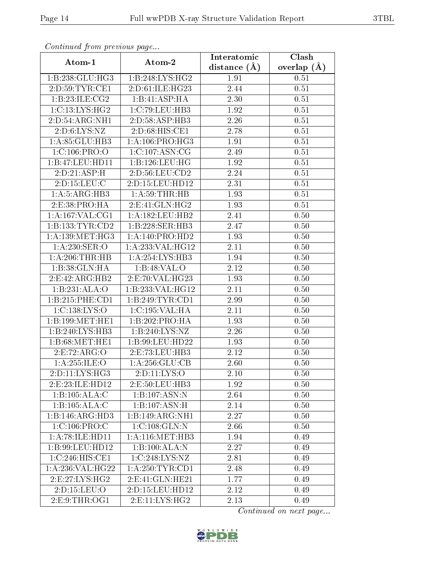| Continuati pont previous page |                     | Interatomic    | Clash           |
|-------------------------------|---------------------|----------------|-----------------|
| Atom-1                        | Atom-2              | distance $(A)$ | overlap $(\AA)$ |
| 1:B:238:GLU:HG3               | 1:B:248:LYS:HG2     | 1.91           | 0.51            |
| 2:D:59:TYR:CE1                | 2:D:61:ILE:HG23     | 2.44           | 0.51            |
| 1:B:23:ILE:CG2                | 1:B:41:ASP:HA       | 2.30           | 0.51            |
| 1:C:13:LYS:HG2                | 1:C:79:LEU:HB3      | 1.92           | 0.51            |
| 2:D:54:ARG:NH1                | 2:D:58:ASP:HB3      | 2.26           | 0.51            |
| 2: D:6: LYS: NZ               | 2:D:68:HIS:CE1      | 2.78           | 0.51            |
| 1: A:85: GLU:HB3              | 1: A: 106: PRO:HG3  | 1.91           | 0.51            |
| 1:C:106:PRO:O                 | 1:C:107:ASN:CG      | 2.49           | 0.51            |
| 1:B:47:LEU:HD11               | 1:B:126:LEU:HG      | 1.92           | 0.51            |
| 2:D:21:ASP:H                  | 2:D:56:LEU:CD2      | 2.24           | 0.51            |
| 2:D:15:LEU:C                  | 2:D:15:LEU:HD12     | 2.31           | 0.51            |
| 1: A: 5: ARG: HB3             | 1: A:59:THR:HB      | 1.93           | 0.51            |
| 2:E:38:PRO:HA                 | 2: E: 41: GLN: HG2  | 1.93           | 0.51            |
| 1: A: 167: VAL: CG1           | 1: A: 182: LEU: HB2 | 2.41           | 0.50            |
| 1:B:133:TYR:CD2               | 1:B:228:SER:HB3     | 2.47           | 0.50            |
| 1: A: 139: MET:HG3            | 1: A:140: PRO:HD2   | 1.93           | 0.50            |
| 1:A:230:SER:O                 | 1:A:233:VAL:HG12    | 2.11           | 0.50            |
| 1: A:206:THR:HB               | 1:A:254:LYS:HB3     | 1.94           | 0.50            |
| 1:B:38:GLN:HA                 | 1:B:48:VAL:O        | 2.12           | 0.50            |
| 2: E: 42: ARG: HB2            | 2:E:70:VAL:HG23     | 1.93           | 0.50            |
| 1:B:231:ALA:O                 | 1:B:233:VAL:HG12    | 2.11           | 0.50            |
| 1:B:215:PHE:CD1               | 1:B:249:TYR:CD1     | 2.99           | 0.50            |
| 1:C:138:LYS:O                 | 1:C:195:VAL:HA      | 2.11           | 0.50            |
| 1:B:199:MET:HE1               | 1:B:202:PRO:HA      | 1.93           | 0.50            |
| 1:B:240:LYS:HB3               | 1:B:240:LYS:NZ      | 2.26           | 0.50            |
| 1:B:68:MET:HE1                | 1:B:99:LEU:HD22     | 1.93           | 0.50            |
| 2:E:72:ARG:O                  | 2:E:73:LEU:HB3      | 2.12           | 0.50            |
| 1: A: 255: ILE:O              | 1:A:256:GLU:CB      | 2.60           | 0.50            |
| $2: D: 11: LYS: HG3$          | 2: D: 11: LYS: O    | 2.10           | 0.50            |
| 2:E:23:ILE:HD12               | 2:E:50:LEU:HB3      | 1.92           | 0.50            |
| 1:B:105:ALA:C                 | 1:B:107:ASN:N       | 2.64           | 0.50            |
| 1:B:105:ALA:C                 | 1:B:107:A SN:H      | 2.14           | 0.50            |
| 1:B:146:ARG:HD3               | 1: B:149: ARG: NH1  | 2.27           | 0.50            |
| 1: C: 106: PRO: C             | 1:C:108:GLN:N       | 2.66           | 0.50            |
| 1:A:78:ILE:HD11               | 1: A:116: MET:HB3   | 1.94           | 0.49            |
| 1:B:99:LEU:HD12               | 1:B:100:ALA:N       | 2.27           | 0.49            |
| 1:C:246:HIS:CE1               | 1:C:248:LYS:NZ      | 2.81           | 0.49            |
| 1:A:236:VAL:HG22              | 1: A:250:TYR:CD1    | 2.48           | 0.49            |
| 2: E: 27: LYS: HG2            | 2:E:41:GLN:HE21     | 1.77           | 0.49            |
| 2:D:15:LEU:O                  | 2:D:15:LEU:HD12     | 2.12           | 0.49            |
| 2:E:9:THR:OG1                 | 2: E: 11: LYS: HG2  | 2.13           | 0.49            |

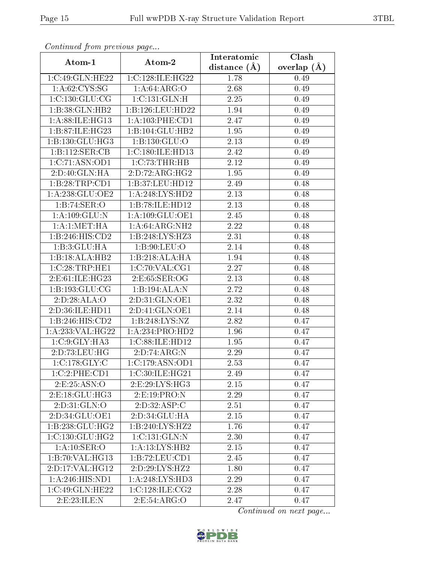| Continuati pont previous page |                    | Interatomic       | Clash           |
|-------------------------------|--------------------|-------------------|-----------------|
| Atom-1                        | Atom-2             | distance (Å)      | overlap $(\AA)$ |
| 1:C:49:GLN:HE22               | 1:C:128:ILE:HG22   | 1.78              | 0.49            |
| 1: A:62:CYS:SG                | 1: A:64: ARG:O     | 2.68              | 0.49            |
| 1: C: 130: GLU: CG            | 1:C:131:GLN:H      | 2.25              | 0.49            |
| 1:B:38:GLN:HB2                | 1:B:126:LEU:HD22   | 1.94              | 0.49            |
| 1: A:88: ILE: HG13            | $1:A:103:$ PHE:CD1 | 2.47              | 0.49            |
| 1:B:87:ILE:HG23               | 1:B:104:GLU:HB2    | 1.95              | 0.49            |
| 1: B: 130: GLU: HG3           | 1: B: 130: GLU:O   | 2.13              | 0.49            |
| 1:B:112:SER:CB                | 1:C:180:ILE:HD13   | 2.42              | 0.49            |
| 1:C:71:ASN:OD1                | 1:C:73:THR:HB      | 2.12              | 0.49            |
| 2:D:40:GLN:HA                 | 2:D:72:ARG:HG2     | 1.95              | 0.49            |
| 1:B:28:TRP:CD1                | 1:B:37:LEU:HD12    | 2.49              | 0.48            |
| 1:A:238:GLU:OE2               | 1: A:248: LYS: HD2 | 2.13              | 0.48            |
| 1:B:74:SER:O                  | 1:B:78:ILE:HD12    | 2.13              | 0.48            |
| 1: A: 109: GLU: N             | 1:A:109:GLU:OE1    | 2.45              | 0.48            |
| 1:A:1:MET:HA                  | 1:A:64:ARG:NH2     | 2.22              | 0.48            |
| $1:B:246:HIS:\overline{CD2}$  | 1:B:248:LYS:HZ3    | 2.31              | 0.48            |
| 1:B:3:GLU:HA                  | 1: B:90: LEU:O     | 2.14              | 0.48            |
| 1:B:18:ALA:HB2                | 1:B:218:ALA:HA     | 1.94              | 0.48            |
| 1:C:28:TRP:HE1                | 1:C:70:VAL:CG1     | 2.27              | 0.48            |
| 2:E:61:ILE:HG23               | 2:E:65:SER:OG      | 2.13              | 0.48            |
| 1:B:193:GLU:CG                | 1:B:194:ALA:N      | $\overline{2.72}$ | 0.48            |
| 2:D:28:ALA:O                  | 2:D:31:GLN:OE1     | 2.32              | 0.48            |
| 2:D:36:ILE:HD11               | 2:D:41:GLN:OE1     | 2.14              | 0.48            |
| 1:B:246:HIS:CD2               | 1:B:248:LYS:NZ     | 2.82              | 0.47            |
| 1: A:233: VAL:HG22            | 1:A:234:PRO:HD2    | 1.96              | 0.47            |
| 1:C:9:GLY:HA3                 | 1:C:88:ILE:HD12    | 1.95              | 0.47            |
| 2:D:73:LEU:HG                 | 2:D:74:ARG:N       | 2.29              | 0.47            |
| 1:C:178:GLY:C                 | 1:C:179:ASN:OD1    | 2.53              | 0.47            |
| 1:C:2:PHE:CD1                 | 1:C:30:ILE:HG21    | 2.49              | 0.47            |
| 2.E.25:ASN:O                  | 2:E:29:LYS:HG3     | 2.15              | 0.47            |
| 2:E:18:GLU:HG3                | 2: E: 19: PRO: N   | 2.29              | 0.47            |
| 2:D:31:GLN:O                  | 2:D:32:ASP:C       | 2.51              | 0.47            |
| 2:D:34:GLU:OE1                | 2:D:34:GLU:HA      | 2.15              | 0.47            |
| 1:B:238:GLU:HG2               | 1:B:240:LYS:HZ2    | 1.76              | 0.47            |
| 1:C:130:GLU:HG2               | 1:C:131:GLN:N      | 2.30              | 0.47            |
| 1:A:10:SER:O                  | 1:A:13:LYS:HB2     | 2.15              | 0.47            |
| 1:B:70:VAL:HG13               | 1:B:72:LEU:CD1     | 2.45              | 0.47            |
| 2:D:17:VAL:HG12               | 2:D:29:LYS:HZ2     | 1.80              | 0.47            |
| 1: A:246: HIS: ND1            | 1:A:248:LYS:HD3    | 2.29              | 0.47            |
| 1:C:49:GLN:HE22               | 1:C:128:ILE:CG2    | 2.28              | 0.47            |
| 2:E:23:ILE:N                  | 2:E:54:ARG:O       | 2.47              | 0.47            |

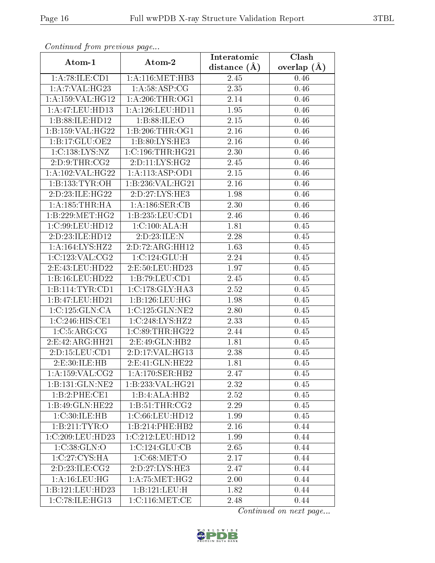| Continuata from previous page    |                                             | Interatomic    | Clash           |
|----------------------------------|---------------------------------------------|----------------|-----------------|
| Atom-1                           | Atom-2                                      | distance $(A)$ | overlap $(\AA)$ |
| 1: A:78: ILE: CD1                | 1:A:116:MET:HB3                             | 2.45           | 0.46            |
| 1:A:7:VAL:HG23                   | 1: A:58:ASP:CG                              | 2.35           | 0.46            |
| 1: A: 159: VAL: HG12             | 1: A:206:THR:OG1                            | 2.14           | 0.46            |
| 1:A:47:LEU:HD13                  | 1: A: 126: LEU: HD11                        | 1.95           | 0.46            |
| 1:B:88:ILE:HD12                  | 1: B:88: ILE: O                             | $2.15\,$       | 0.46            |
| 1:B:159:VAL:HG22                 | 1: B:206:THR:OG1                            | 2.16           | 0.46            |
| 1: B: 17: GLU: OE2               | 1:B:80:LYS:HE3                              | 2.16           | 0.46            |
| 1:C:138:LYS:NZ                   | 1:C:196:THR:HG21                            | 2.30           | 0.46            |
| 2:D:9:THR:CG2                    | $2:\overline{D:11:LYS:HG2}$                 | 2.45           | 0.46            |
| 1: A: 102: VAL: HG22             | 1:A:113:ASP:OD1                             | 2.15           | 0.46            |
| 1:B:133:TYR:OH                   | 1:B:236:VAL:HG21                            | 2.16           | 0.46            |
| 2: D: 23: ILE: HG22              | 2: D: 27: LYS: HE3                          | 1.98           | 0.46            |
| 1:A:185:THR:HA                   | 1:A:186:SER:CB                              | 2.30           | 0.46            |
| 1:B:229:MET:HG2                  | 1:B:235:LEU:CD1                             | 2.46           | 0.46            |
| 1:C:99:LEU:HD12                  | 1:C:100:ALA:H                               | 1.81           | 0.45            |
| 2:D:23:ILE:HD12                  | 2:D:23:ILE:N                                | 2.28           | 0.45            |
| 1:A:164:LYS:HZ2                  | 2:D:72:ARG:HH12                             | 1.63           | 0.45            |
| 1:C:123:VAL:CG2                  | 1:C:124:GLU:H                               | 2.24           | 0.45            |
| 2:E:43:LEU:HD22                  | 2:E:50:LEU:HD23                             | 1.97           | 0.45            |
| 1:B:16:LEU:HD22                  | 1:B:79:LEU:CD1                              | 2.45           | 0.45            |
| 1:B:114:TYR:CD1                  | $1:C:178:\overline{\text{GLY:H} \text{A3}}$ | 2.52           | 0.45            |
| 1:B:47:LEU:HD21                  | 1:B:126:LEU:HG                              | 1.98           | 0.45            |
| 1:C:125:GLN:CA                   | 1:C:125:GLN:NE2                             | 2.80           | 0.45            |
| 1:C:246:HIS:CE1                  | 1:C:248:LYS:HZ2                             | 2.33           | 0.45            |
| 1:C:5:ARG:CG                     | 1:C:89:THR:HG22                             | 2.44           | 0.45            |
| 2:E:42:ARG:HH21                  | 2: E: 49: GLN: HB2                          | 1.81           | 0.45            |
| 2:D:15:LEU:CD1                   | 2:D:17:VAL:HG13                             | 2.38           | 0.45            |
| 2:E:30:ILE:HB                    | 2:Eq1:GLN:HE22                              | 1.81           | 0.45            |
| $1: A: 159: VAL: \overline{CG2}$ | 1: A:170: SER: HB2                          | 2.47           | 0.45            |
| 1:B:131:GLN:NE2                  | 1:B:233:VAL:HG21                            | 2.32           | 0.45            |
| $1:B:2:PHE:\overline{CE1}$       | $1:B:4:A\overline{LA:HB2}$                  | 2.52           | 0.45            |
| 1:B:49:GLN:HE22                  | 1:B:51:THR:CG2                              | 2.29           | 0.45            |
| 1:C:30:ILE:HB                    | 1:C:66:LEU:HD12                             | 1.99           | 0.45            |
| 1:B:211:TYR:O                    | 1:B:214:PHE:HB2                             | 2.16           | 0.44            |
| 1:C:209:LEU:HD23                 | 1:C:212:LEU:HD12                            | 1.99           | 0.44            |
| 1:C:38:GLN:O                     | 1:C:124:GLU:CB                              | 2.65           | 0.44            |
| 1:C:27:CYS:HA                    | 1: C:68: MET:O                              | 2.17           | 0.44            |
| 2:D:23:ILE:CG2                   | 2:D:27:LYS:HE3                              | 2.47           | 0.44            |
| 1: A: 16: LEU: HG                | 1: A:75: MET:HG2                            | 2.00           | 0.44            |
| 1:B:121:LEU:HD23                 | 1:B:121:LEU:H                               | 1.82           | 0.44            |
| 1:C:78:ILE:HG13                  | 1:C:116:MET:CE                              | 2.48           | 0.44            |

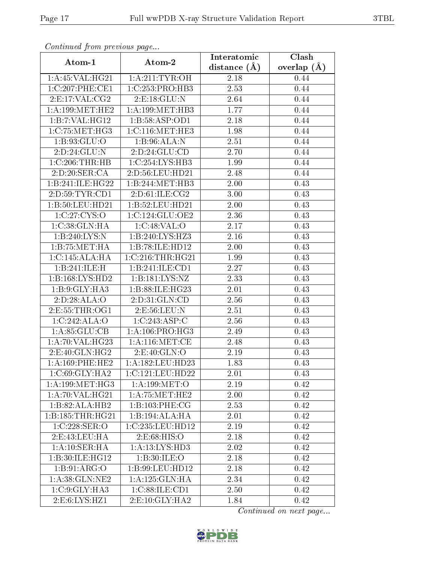| Conningea from previous page |                      | Interatomic    | Clash         |
|------------------------------|----------------------|----------------|---------------|
| Atom-1                       | Atom-2               | distance $(A)$ | overlap $(A)$ |
| 1:A:45:VAL:HG21              | 1: A:211:TYR:OH      | $2.18\,$       | 0.44          |
| 1:C:207:PHE:CE1              | 1:C:253:PRO:HB3      | 2.53           | 0.44          |
| 2: E:17: VAL: CG2            | 2: E: 18: GLU: N     | 2.64           | 0.44          |
| 1: A: 199: MET: HE2          | 1: A:199:MET:HB3     | 1.77           | 0.44          |
| 1:B:7:VAL:HG12               | 1:B:58:ASP:OD1       | 2.18           | 0.44          |
| 1:C:75:MET:HG3               | 1:C:116:MET:HE3      | 1.98           | 0.44          |
| 1:B:93:GLU:O                 | 1:B:96:ALA:N         | 2.51           | 0.44          |
| 2:D:24:GLU:N                 | 2:D:24:GLU:CD        | 2.70           | 0.44          |
| $1:\overline{C:206:THR:HB}$  | 1:C:254:LYS:HB3      | 1.99           | 0.44          |
| 2:D:20:SER:CA                | 2:D:56:LEU:HD21      | 2.48           | 0.44          |
| 1:B:241:ILE:HG22             | 1:B:244:MET:HB3      | 2.00           | 0.43          |
| 2:D:59:TYR:CD1               | 2:D:61:ILE:CG2       | 3.00           | 0.43          |
| 1:B:50:LEU:HD21              | 1:B:52:LEU:HD21      | 2.00           | 0.43          |
| 1:C:27:CYS:O                 | 1:C:124:GLU:OE2      | 2.36           | 0.43          |
| 1:C:38:GLN:HA                | 1:C:48:VAL:O         | 2.17           | 0.43          |
| 1:B:240:LYS:N                | 1:B:240:LYS:HZ3      | 2.16           | 0.43          |
| 1:B:75:MET:HA                | 1:B:78:ILE:HD12      | 2.00           | 0.43          |
| 1:C:145:ALA:HA               | $1:C:216$ :THR:HG21  | 1.99           | 0.43          |
| 1:B:241:ILE:H                | 1:B:241:ILE:CD1      | 2.27           | 0.43          |
| 1:B:168:LYS:HD2              | 1:B:181:LYS:NZ       | 2.33           | 0.43          |
| 1:B:9:GLY:HA3                | 1:B:88:ILE:HG23      | 2.01           | 0.43          |
| 2:D:28:ALA:O                 | 2:D:31:GLN:CD        | 2.56           | 0.43          |
| 2:E:55:THR:OG1               | 2:E:56:LEU:N         | 2.51           | 0.43          |
| 1:C:242:ALA:O                | 1:C:243:ASP:C        | 2.56           | 0.43          |
| 1: A:85: GLU:CB              | 1: A: 106: PRO:HG3   | 2.49           | 0.43          |
| 1:A:70:VAL:HG23              | 1:A:116:MET:CE       | 2.48           | 0.43          |
| 2:E:40:GLN:HG2               | 2.E:40:GLN:O         | 2.19           | 0.43          |
| 1: A: 169: PHE: HE2          | 1: A: 182: LEU: HD23 | 1.83           | 0.43          |
| 1:C:69:GLY:HA2               | 1:C:121:LEU:HD22     | $2.01\,$       | 0.43          |
| 1: A: 199: MET:HG3           | 1: A: 199: MET:O     | 2.19           | 0.42          |
| 1: A:70: VAL:HG21            | 1: A:75:MET:HE2      | 2.00           | 0.42          |
| $1:B:82:A\overline{LA:HB2}$  | 1:B:103:PHE:CG       | 2.53           | 0.42          |
| 1:B:185:THR:HG21             | 1:B:194:ALA:HA       | 2.01           | 0.42          |
| 1:C:228:SER:O                | 1:C:235:LEU:HD12     | 2.19           | 0.42          |
| 2:E:43:LEU:HA                | 2:E:68:HIS:O         | 2.18           | 0.42          |
| 1:A:10:SER:HA                | 1:A:13:LYS:HD3       | 2.02           | 0.42          |
| 1:B:30:ILE:HG12              | 1:B:30:ILE:O         | 2.18           | 0.42          |
| 1: B:91: ARG:O               | 1:B:99:LEU:HD12      | 2.18           | 0.42          |
| 1: A:38: GLN: NE2            | 1:A:125:GLN:HA       | 2.34           | 0.42          |
| 1:C:9:GLY:HA3                | 1:C:88:ILE:CD1       | 2.50           | 0.42          |
| 2:E:6:LYS:HZ1                | 2: E:10: GLY: HA2    | 1.84           | 0.42          |

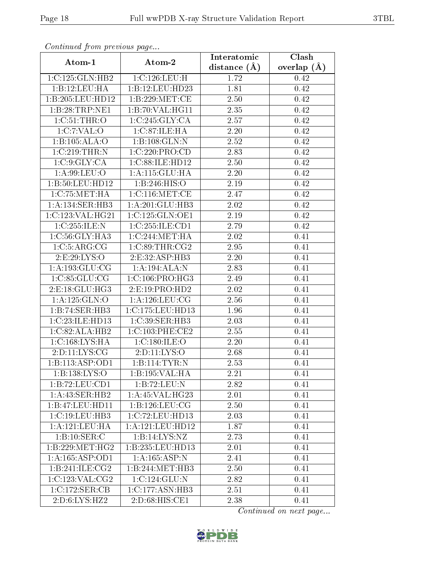| Continuation providuo paga |                                                      | Interatomic       | $\overline{\text{Clash}}$ |
|----------------------------|------------------------------------------------------|-------------------|---------------------------|
| Atom-1                     | Atom-2                                               | distance $(\AA)$  | overlap $(\AA)$           |
| 1:C:125:GLN:HB2            | 1:C:126:LEU:H                                        | 1.72              | 0.42                      |
| 1:B:12:LEU:HA              | 1:B:12:LEU:HD23                                      | 1.81              | 0.42                      |
| 1:B:205:LEU:HD12           | 1:B:229:MET:CE                                       | 2.50              | 0.42                      |
| 1:B:28:TRP:NE1             | 1:B:70:VAL:HG11                                      | 2.35              | 0.42                      |
| 1:C:51:THR:O               | 1:C:245:GLY:CA                                       | 2.57              | 0.42                      |
| 1:C:7:VAL:O                | 1:C:87:ILE:HA                                        | 2.20              | 0.42                      |
| 1:B:105:ALA:O              | 1:B:108:GLN:N                                        | 2.52              | 0.42                      |
| 1:C:219:THR:N              | 1:C:220:PRO:CD                                       | 2.83              | 0.42                      |
| 1:C:9:GLY:CA               | 1:C:88:ILE:HD12                                      | 2.50              | 0.42                      |
| 1:A:99:LEU:O               | 1:A:115:GLU:HA                                       | 2.20              | 0.42                      |
| 1:B:50:LEU:HD12            | 1:B:246:HIS:O                                        | 2.19              | 0.42                      |
| 1:C:75:MET:HA              | 1:C:116:MET:CE                                       | 2.47              | 0.42                      |
| 1:A:134:SER:HB3            | 1:A:201:GLU:HB3                                      | 2.02              | 0.42                      |
| 1:C:123:VAL:HG21           | 1:C:125:GLN:OE1                                      | 2.19              | 0.42                      |
| 1:C:255:ILE:N              | 1:C:255:ILE:CD1                                      | 2.79              | 0.42                      |
| 1:C:56:GLY:HA3             | 1:C:244:MET:HA                                       | 2.02              | 0.41                      |
| 1:C:5:ARG:CG               | 1:C:89:THR:CG2                                       | $\overline{2.95}$ | 0.41                      |
| 2: E: 29: LYS: O           | 2:E:32:ASP:HB3                                       | 2.20              | 0.41                      |
| 1: A: 193: GLU: CG         | 1:A:194:ALA:N                                        | 2.83              | 0.41                      |
| 1:C:85:GLU:CG              | 1: C:106: PRO:HG3                                    | 2.49              | 0.41                      |
| 2:E:18:GLU:HG3             | $2: E: 19: P\overline{RO:HD2}$                       | 2.02              | 0.41                      |
| 1:A:125:GLN:O              | 1: A: 126: LEU: CG                                   | 2.56              | 0.41                      |
| 1:B:74:SER:HB3             | 1:C:175:LEU:HD13                                     | 1.96              | 0.41                      |
| 1:C:23:ILE:HD13            | 1:C:39:SER:HB3                                       | 2.03              | 0.41                      |
| 1:C:82:ALA:HB2             | 1:C:103:PHE:CE2                                      | 2.55              | 0.41                      |
| 1:C:168:LYS:HA             | 1:C:180:ILE:O                                        | 2.20              | 0.41                      |
| 2: D: 11: LYS: CG          | 2:D:11:LYS:O                                         | 2.68              | 0.41                      |
| 1:B:113:ASP:OD1            | 1:B:114:TYR:N                                        | 2.53              | 0.41                      |
| 1:B:138:LYS:O              | $1:B:195:\overline{\text{VAL}}:\overline{\text{HA}}$ | 2.21              | 0.41                      |
| 1:B:72:LEU:CD1             | 1:B:72:LEU:N                                         | 2.82              | 0.41                      |
| 1:A:43:SER:HB2             | 1: A:45: VAL:HG23                                    | 2.01              | 0.41                      |
| 1:B:47:LEU:HDI1            | 1: B: 126: LEU: CG                                   | 2.50              | 0.41                      |
| 1:C:19:LEU:HB3             | 1:C:72:LEU:HD13                                      | 2.03              | 0.41                      |
| 1:A:121:LEU:HA             | 1: A: 121: LEU: HD12                                 | 1.87              | 0.41                      |
| 1:B:10:SER:C               | 1:B:14:LYS:NZ                                        | 2.73              | 0.41                      |
| 1:B:229:MET:HG2            | 1:B:235:LEU:HD13                                     | 2.01              | 0.41                      |
| 1: A: 165: ASP: OD1        | 1:A:165:ASP:N                                        | 2.41              | 0.41                      |
| 1:B:241:ILE:CG2            | 1:B:244:MET:HB3                                      | 2.50              | 0.41                      |
| 1:C:123:VAL:CG2            | 1:C:124:GLU:N                                        | 2.82              | 0.41                      |
| 1:C:172:SER:CB             | $1:C:177:ASN:H\overline{B3}$                         | 2.51              | 0.41                      |
| 2: D:6: LYS: HZ2           | $2: D:68: \overline{HIS:CE1}$                        | 2.38              | 0.41                      |

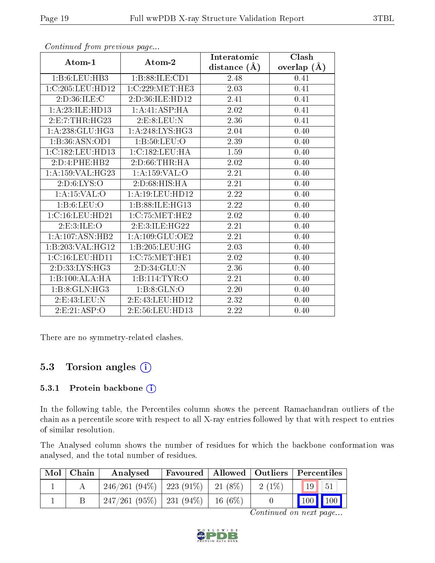|                     |                     | Interatomic    | Clash           |
|---------------------|---------------------|----------------|-----------------|
| Atom-1              | Atom-2              | distance $(A)$ | overlap $(\AA)$ |
| 1:B:6:LEU:HB3       | 1:B:88:ILE:CD1      | 2.48           | 0.41            |
| 1:C:205:LEU:HD12    | 1:C:229:MET:HE3     | 2.03           | 0.41            |
| 2:D:36:ILE:C        | 2:D:36:ILE:HD12     | 2.41           | 0.41            |
| 1:A:23:ILE:HD13     | 1:A:41:ASP:HA       | 2.02           | 0.41            |
| 2:E:7:THR:HG23      | 2: E: 8: LEU: N     | 2.36           | 0.41            |
| 1:A:238:GLU:HG3     | 1: A:248: LYS: HG3  | 2.04           | 0.40            |
| 1:B:36:ASN:OD1      | 1: B: 50: LEU: O    | 2.39           | 0.40            |
| 1:C:182:LEU:HD13    | 1:C:182:LEU:HA      | 1.59           | 0.40            |
| 2:D:4:PHE:HB2       | 2: D:66:THR:HA      | 2.02           | 0.40            |
| 1: A: 159: VAL:HG23 | 1:A:159:VAL:O       | 2.21           | 0.40            |
| 2:D:6:LYS:O         | 2:D:68:HIS:HA       | 2.21           | 0.40            |
| 1: A: 15: VAL: O    | 1: A: 19: LEU: HD12 | 2.22           | 0.40            |
| 1: B:6: LEU:O       | 1:B:88:ILE:HG13     | 2.22           | 0.40            |
| 1:C:16:LEU:HD21     | 1: C: 75: MET: HE2  | 2.02           | 0.40            |
| 2: E:3: ILE: O      | 2:E:3:ILE:HG22      | 2.21           | 0.40            |
| 1:A:107:ASN:HB2     | 1: A: 109: GLU: OE2 | 2.21           | 0.40            |
| 1:B:203:VAL:HG12    | 1:B:205:LEU:HG      | 2.03           | 0.40            |
| 1:C:16:LEU:HD11     | 1: C: 75: MET: HE1  | 2.02           | 0.40            |
| 2:D:33:LYS:HG3      | 2:D:34:GLU:N        | 2.36           | 0.40            |
| 1:B:100:ALA:HA      | 1:B:114:TYR:O       | 2.21           | 0.40            |
| 1:B:8:GLN:HG3       | 1:B:8:GLN:O         | 2.20           | 0.40            |
| 2: E:43: LEU: N     | 2:E:43:LEU:HD12     | 2.32           | 0.40            |
| 2:E:21:ASP:O        | 2:E:56:LEU:HD13     | 2.22           | 0.40            |

There are no symmetry-related clashes.

### 5.3 Torsion angles  $(i)$

#### 5.3.1 Protein backbone (i)

In the following table, the Percentiles column shows the percent Ramachandran outliers of the chain as a percentile score with respect to all X-ray entries followed by that with respect to entries of similar resolution.

The Analysed column shows the number of residues for which the backbone conformation was analysed, and the total number of residues.

| $\mathrm{Mol}\mid\mathrm{Chain}$ | Analysed                                 |           |          | $\mid$ Favoured $\mid$ Allowed $\mid$ Outliers $\mid$ Percentiles $\mid$ |
|----------------------------------|------------------------------------------|-----------|----------|--------------------------------------------------------------------------|
|                                  | $246/261 (94\%)$   223 (91\%)   21 (8\%) |           | $2(1\%)$ | $\vert$ 19 $\vert$<br>$-51$                                              |
|                                  | $247/261(95\%)$   231 (94\%)             | $16(6\%)$ |          |                                                                          |

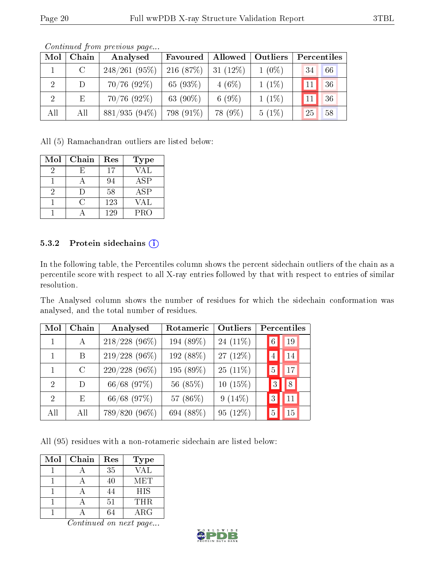| Mol            | Chain   | Analysed        | Favoured    | Allowed     | Outliers | Percentiles                      |    |
|----------------|---------|-----------------|-------------|-------------|----------|----------------------------------|----|
|                | $\rm C$ | $248/261(95\%)$ | 216 $(87%)$ | 31 $(12\%)$ | $1(0\%)$ | 34                               | 66 |
| $\overline{2}$ | D       | $70/76$ (92%)   | 65 $(93%)$  | $4(6\%)$    | $1(1\%)$ | $\blacksquare$ 11 $\blacksquare$ | 36 |
| <sup>2</sup>   | Ε       | $70/76$ (92%)   | 63 (90%)    | 6 $(9\%)$   | $1(1\%)$ |                                  | 36 |
| All            | All     | $881/935(94\%)$ | 798 (91\%)  | 78 (9%)     | $5(1\%)$ | 25                               | 58 |

Continued from previous page...

All (5) Ramachandran outliers are listed below:

| Mol | Chain | Res | <b>Type</b> |
|-----|-------|-----|-------------|
| 9   | Н,    | 17  | <b>VAL</b>  |
|     |       | 94  | <b>ASP</b>  |
| 2   | I)    | 58  | ASP         |
|     | ( )   | 123 | VAL         |
|     |       | 129 | PRO         |

#### 5.3.2 Protein sidechains  $(i)$

In the following table, the Percentiles column shows the percent sidechain outliers of the chain as a percentile score with respect to all X-ray entries followed by that with respect to entries of similar resolution.

The Analysed column shows the number of residues for which the sidechain conformation was analysed, and the total number of residues.

| Mol                         | Chain   | Analysed        | Rotameric | Outliers    |                | Percentiles |
|-----------------------------|---------|-----------------|-----------|-------------|----------------|-------------|
|                             | A       | $218/228$ (96%) | 194 (89%) | 24 $(11\%)$ | 6 <sup>1</sup> | 19          |
|                             | B       | $219/228(96\%)$ | 192 (88%) | 27 $(12\%)$ | $\overline{4}$ | 14          |
|                             | $\rm C$ | $220/228(96\%)$ | 195 (89%) | $25(11\%)$  | $\frac{5}{2}$  | 17          |
| $\mathcal{D}$               | D.      | 66/68 (97%)     | 56 (85%)  | $10(15\%)$  | 3              | 8           |
| $\mathcal{D}_{\mathcal{A}}$ | E.      | 66/68 (97%)     | 57 (86%)  | $9(14\%)$   | 3              | 11          |
| All                         | All     | 789/820 (96%)   | 694 (88%) | $95(12\%)$  | 5              | 15          |

All (95) residues with a non-rotameric sidechain are listed below:

| Mol | Chain | Res | <b>Type</b> |
|-----|-------|-----|-------------|
|     |       | 35  | VAL         |
|     |       | 40  | MET         |
|     |       | 44  | <b>HIS</b>  |
|     |       | 51  | <b>THR</b>  |
|     |       |     | ARG         |

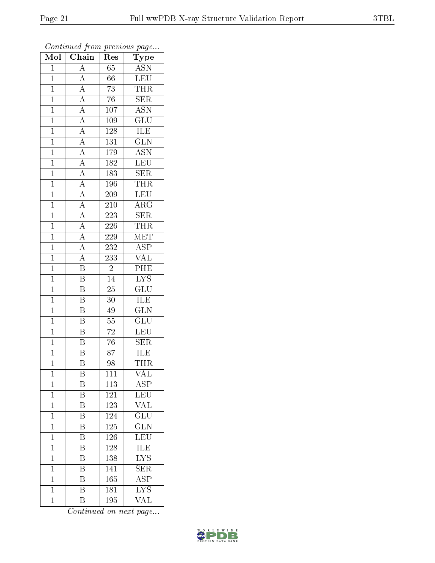| Mol            | $\overline{\text{C}}$ hain                                              | Res              | Type                    |
|----------------|-------------------------------------------------------------------------|------------------|-------------------------|
| $\overline{1}$ | $\overline{A}$                                                          | 65               | <b>ASN</b>              |
| $\mathbf 1$    | $\overline{A}$                                                          | 66               | <b>LEU</b>              |
| $\overline{1}$ | $\frac{\overline{A}}{\overline{A}}$                                     | $\overline{73}$  | THR                     |
| $\mathbf{1}$   |                                                                         | $76\,$           | <b>SER</b>              |
| $\mathbf{1}$   | $\frac{\overline{A}}{\overline{A}}$                                     | $\overline{107}$ | $\overline{\text{ASN}}$ |
| $\mathbf 1$    |                                                                         | 109              | GLU                     |
| $\overline{1}$ |                                                                         | $\overline{128}$ | ILE                     |
| $\mathbf{1}$   |                                                                         | 131              | $\overline{\text{GLN}}$ |
| $\mathbf{1}$   | $\frac{\overline{A}}{\overline{A}}$ $\frac{\overline{A}}{\overline{A}}$ | 179              | $\overline{\text{ASN}}$ |
| $\overline{1}$ |                                                                         | 182              | LEU                     |
| $\mathbf 1$    |                                                                         | 183              | $\overline{\text{SER}}$ |
| $\overline{1}$ | $\overline{A}$                                                          | 196              | <b>THR</b>              |
| $\overline{1}$ |                                                                         | 209              | LEU                     |
| $\mathbf{1}$   | $\frac{\overline{A}}{\overline{A}}$                                     | 210              | ARG                     |
| $\overline{1}$ |                                                                         | 223              | $\overline{\text{SER}}$ |
| $\overline{1}$ | $\frac{\overline{A}}{\overline{A}}$                                     | 226              | <b>THR</b>              |
| $\overline{1}$ |                                                                         | 229              | MET                     |
| $\mathbf{1}$   | $\frac{\overline{A}}{\overline{A}}$                                     | 232              | <b>ASP</b>              |
| $\mathbf{1}$   |                                                                         | 233              | $\overline{\text{VAL}}$ |
| $\overline{1}$ | $\overline{\mathbf{B}}$                                                 | $\overline{2}$   | PHE                     |
| $\mathbf{1}$   | $\overline{\mathrm{B}}$                                                 | 14               | $\overline{\text{LYS}}$ |
| $\overline{1}$ | $\overline{\mathrm{B}}$                                                 | $\overline{25}$  | $\overline{{\rm GLU}}$  |
| $\mathbf{1}$   | B                                                                       | 30               | ILE                     |
| $\mathbf{1}$   | $\overline{\mathrm{B}}$                                                 | 49               | $\overline{\text{GLN}}$ |
| $\mathbf{1}$   | $\overline{\mathrm{B}}$                                                 | 55               | $\overline{\text{GLU}}$ |
| $\mathbf{1}$   | $\overline{\mathrm{B}}$                                                 | 72               | LEU                     |
| $\mathbf{1}$   | $\overline{\mathrm{B}}$                                                 | $\overline{76}$  | $\overline{\text{SER}}$ |
| $\mathbf 1$    | $\overline{\mathrm{B}}$                                                 | 87               | ILE                     |
| $\mathbf 1$    | $\overline{\mathrm{B}}$                                                 | 98               | <b>THR</b>              |
| 1              | $\overline{B}$                                                          | $\overline{111}$ | VAL                     |
| $\mathbf 1$    | Β                                                                       | 113              | $\overline{\rm ASP}$    |
| $\mathbf 1$    | Β                                                                       | 121              | LEU                     |
| $\mathbf{1}$   | $\overline{\text{B}}$                                                   | 123              | <b>VAL</b>              |
| $\mathbf{1}$   | $\overline{\mathrm{B}}$                                                 | 124              | $\overline{{\rm GLU}}$  |
| $\mathbf{1}$   | B                                                                       | 125              | $\overline{\text{GLN}}$ |
| $\mathbf 1$    | $\overline{\mathrm{B}}$                                                 | 126              | $\overline{\text{LEU}}$ |
| $\mathbf{1}$   | $\overline{\mathrm{B}}$                                                 | 128              | <b>ILE</b>              |
| $\mathbf{1}$   | B                                                                       | 138              | $\overline{\rm LYS}$    |
| $\mathbf 1$    | $\overline{\mathrm{B}}$                                                 | 141              | $\overline{\text{SER}}$ |
| $\mathbf{1}$   | B                                                                       | 165              | <b>ASP</b>              |
| $\overline{1}$ | $\overline{\mathrm{B}}$                                                 | $\overline{18}1$ | $\overline{\text{LYS}}$ |
| $\mathbf{1}$   | Β                                                                       | 195              | VAL                     |

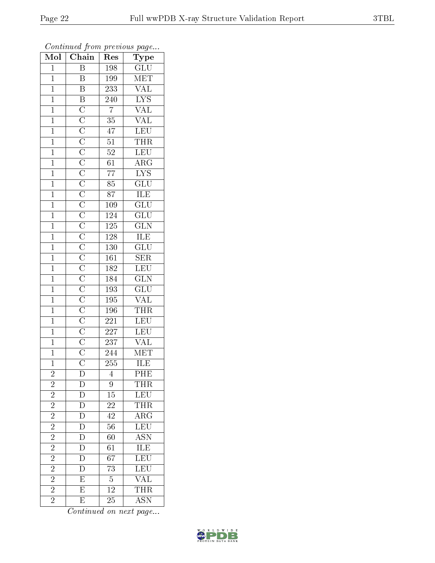| $\overline{\text{Mol}}$ | $\boldsymbol{\mathsf{v}}$<br>$\overline{\text{Chain}}$ | ı.<br>Res        | $\mathbf{r}$<br>$\overline{\phantom{a}}$<br>Type |
|-------------------------|--------------------------------------------------------|------------------|--------------------------------------------------|
| $\overline{1}$          | $\overline{\mathbf{B}}$                                | 198              | $\overline{GLU}$                                 |
| $\overline{1}$          | B                                                      | 199              | MET                                              |
| $\overline{1}$          | $\overline{B}$                                         | 233              | $\frac{\text{VAL}}{\text{LYS}}$                  |
| $\overline{1}$          |                                                        | $\overline{240}$ |                                                  |
| $\overline{1}$          |                                                        | $\overline{7}$   | $\frac{\overline{\text{VAL}}}{\text{VAL}}}$      |
| $\overline{1}$          |                                                        | $\overline{35}$  |                                                  |
| $\overline{1}$          |                                                        | $\overline{47}$  | LEU                                              |
| $\overline{1}$          |                                                        | $\overline{51}$  | <b>THR</b>                                       |
| $\overline{1}$          |                                                        | $\overline{52}$  | LEU                                              |
| $\overline{1}$          |                                                        | $\overline{61}$  | $\overline{\rm ARG}$                             |
| $\overline{1}$          |                                                        | $\overline{77}$  | $\overline{\text{LYS}}$                          |
| $\overline{1}$          |                                                        | $\overline{85}$  | $\overline{{\rm GLU}}$                           |
| $\overline{1}$          |                                                        | 87               | ILE                                              |
| $\mathbf{1}$            |                                                        | $\overline{109}$ | $\overline{{\rm GLU}}$                           |
| $\overline{1}$          |                                                        | <b>124</b>       | $\overline{{\rm GLU}}$                           |
| $\overline{1}$          |                                                        | $\overline{125}$ | $\overline{\text{GLN}}$                          |
| $\overline{1}$          |                                                        | $\overline{128}$ | $\overline{\text{ILE}}$                          |
| $\overline{1}$          |                                                        | <b>130</b>       | $\frac{\overline{\text{GLU}}}{\text{SER}}$       |
| $\overline{1}$          |                                                        | $\overline{161}$ |                                                  |
| $\overline{1}$          |                                                        | <b>182</b>       | $\frac{\overline{\text{LEU}}}{\text{GLN}}$       |
| $\overline{1}$          |                                                        | 184              |                                                  |
| $\overline{1}$          |                                                        | 193              | GLU<br>VAL                                       |
| $\overline{1}$          |                                                        | 195              |                                                  |
| $\overline{1}$          |                                                        | $196\,$          | $\overline{\text{THR}}$                          |
| $\overline{1}$          |                                                        | $\overline{221}$ | LEU                                              |
| $\overline{1}$          |                                                        | 227              | LEU                                              |
| $\overline{1}$          |                                                        | <b>237</b>       | VAL                                              |
| $\overline{1}$          |                                                        | 244              | MET                                              |
| $\overline{1}$          |                                                        | $\overline{255}$ | ILE                                              |
| $\overline{c}$          | $\mathbf D$                                            | 4                | PHE                                              |
| $\overline{2}$          | D                                                      | 9                | <b>THR</b>                                       |
| $\overline{2}$          | $\overline{D}$                                         | $\overline{15}$  | <b>LEU</b>                                       |
| $\overline{c}$          | $\mathbf{D}$                                           | <b>22</b>        | THR                                              |
| $\overline{2}$          | $\overline{\rm D}$                                     | $\overline{42}$  | $\overline{\rm ARG}$                             |
| $\overline{2}$          | $\overline{D}$                                         | 56               | LEU                                              |
| $\overline{2}$          | $\frac{\overline{D}}{D}$                               | $\overline{60}$  | $\overline{ASN}$                                 |
| $\overline{2}$          |                                                        | $\overline{61}$  | ILE<br>LEU                                       |
| $\overline{2}$          | $\overline{\rm D}$                                     | $\overline{67}$  |                                                  |
| $\overline{2}$          | $\overline{D}$                                         | $\overline{73}$  | LEU<br>VAL                                       |
| $\overline{2}$          | ${\rm E}$                                              | $\overline{5}$   |                                                  |
| $\overline{2}$          | $\overline{\mathrm{E}}$                                | $\overline{12}$  | <b>THR</b>                                       |
| $\overline{2}$          | E                                                      | 25               | <b>ASN</b>                                       |

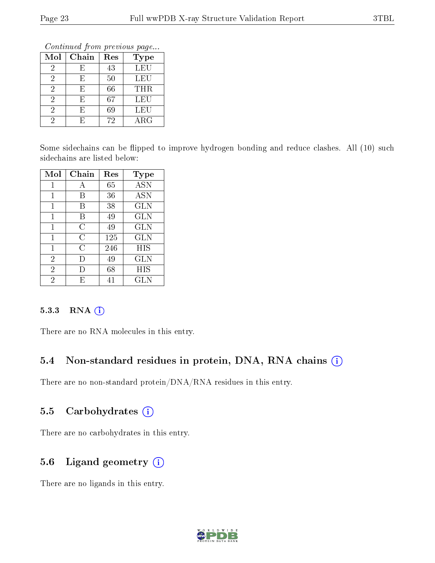Continued from previous page...

| Mol | Chain | Res | Type       |
|-----|-------|-----|------------|
| 2   | F)    | 43  | LEU        |
| 2   | F,    | 50  | <b>LEU</b> |
| 2   | F,    | 66  | THR        |
| 2   | F,    | 67  | LEU        |
| 2   | F,    | 69  | LEU        |
|     | F.    | 72  | $\rm{ARG}$ |

Some sidechains can be flipped to improve hydrogen bonding and reduce clashes. All (10) such sidechains are listed below:

| Mol            | Chain | Res | <b>Type</b>  |
|----------------|-------|-----|--------------|
| 1              | А     | 65  | <b>ASN</b>   |
| 1              | В     | 36  | <b>ASN</b>   |
| 1              | В     | 38  | $_{\rm GLN}$ |
| 1              | В     | 49  | <b>GLN</b>   |
| 1              | С     | 49  | <b>GLN</b>   |
| 1              | С     | 125 | <b>GLN</b>   |
| 1              | С     | 246 | HIS          |
| $\overline{2}$ | Ð     | 49  | GLN          |
| $\overline{2}$ |       | 68  | HIS          |
| $\overline{2}$ | F,    | 41  | GLN          |

#### 5.3.3 RNA [O](https://www.wwpdb.org/validation/2017/XrayValidationReportHelp#rna)i

There are no RNA molecules in this entry.

### 5.4 Non-standard residues in protein, DNA, RNA chains (i)

There are no non-standard protein/DNA/RNA residues in this entry.

### 5.5 Carbohydrates  $(i)$

There are no carbohydrates in this entry.

## 5.6 Ligand geometry (i)

There are no ligands in this entry.

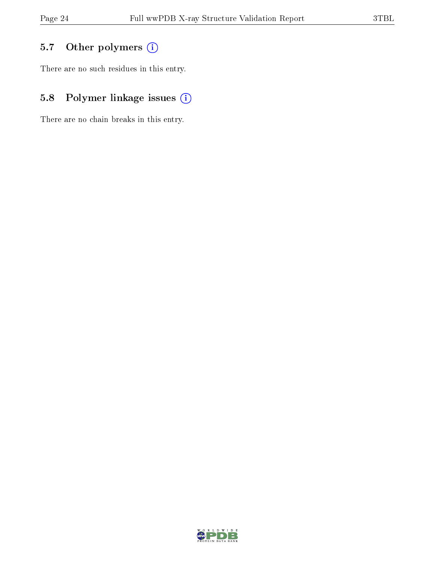## 5.7 [O](https://www.wwpdb.org/validation/2017/XrayValidationReportHelp#nonstandard_residues_and_ligands)ther polymers (i)

There are no such residues in this entry.

## 5.8 Polymer linkage issues (i)

There are no chain breaks in this entry.

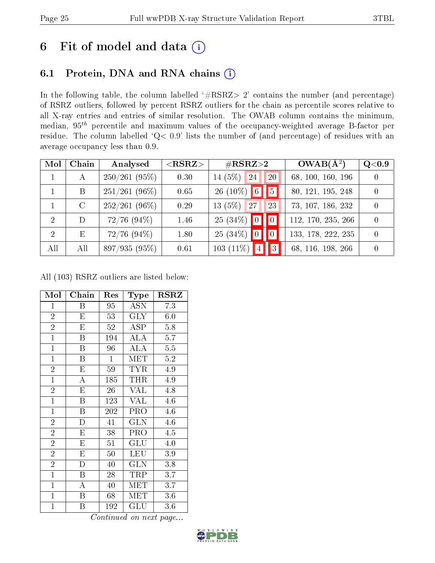# 6 Fit of model and data  $(i)$

## 6.1 Protein, DNA and RNA chains  $(i)$

In the following table, the column labelled  $#RSRZ> 2'$  contains the number (and percentage) of RSRZ outliers, followed by percent RSRZ outliers for the chain as percentile scores relative to all X-ray entries and entries of similar resolution. The OWAB column contains the minimum, median,  $95<sup>th</sup>$  percentile and maximum values of the occupancy-weighted average B-factor per residue. The column labelled ' $Q< 0.9$ ' lists the number of (and percentage) of residues with an average occupancy less than 0.9.

| Mol                         | Chain | Analysed         | $<$ RSRZ $>$ | $\rm \#RSRZ{>}2$  |                | $OWAB(A^2)$        | Q <sub>0.9</sub> |
|-----------------------------|-------|------------------|--------------|-------------------|----------------|--------------------|------------------|
|                             | А     | 250/261(95%)     | 0.30         | 14 $(5%)$<br>24   | 20             | 68, 100, 160, 196  | $\Omega$         |
|                             | B     | $251/261(96\%)$  | 0.65         | $26(10\%)$ 6      | $\overline{5}$ | 80, 121, 195, 248  | $\Omega$         |
|                             | C     | $252/261(96\%)$  | 0.29         | $13(5\%)$<br>27   | 23             | 73, 107, 186, 232  | $\Omega$         |
| $\mathcal{D}_{\mathcal{A}}$ | D     | $72/76$ $(94\%)$ | 1.46         | $25(34\%)$ 0      | $\blacksquare$ | 112, 170, 235, 266 | $\theta$         |
| $\overline{2}$              | Ε     | $72/76$ $(94\%)$ | 1.80         | $25(34\%)$<br> 0  | $\blacksquare$ | 133, 178, 222, 235 | $\Omega$         |
| All                         | All   | 897/935 (95%)    | 0.61         | 4 <br>$103(11\%)$ |                | 68, 116, 198, 266  | $\Omega$         |

All (103) RSRZ outliers are listed below:

| Mol            | Chain                   | Res                 | Type                    | <b>RSRZ</b>      |
|----------------|-------------------------|---------------------|-------------------------|------------------|
| $\mathbf{1}$   | Β                       | 95                  | <b>ASN</b>              | 7.3              |
| $\overline{2}$ | E                       | 53                  | <b>GLY</b>              | 6.0              |
| $\overline{2}$ | E                       | 52                  | ASP                     | 5.8              |
| $\overline{1}$ | $\overline{\mathrm{B}}$ | 194                 | $\overline{\rm ALA}$    | $\overline{5.7}$ |
| $\mathbf{1}$   | B                       | 96                  | <b>ALA</b>              | $5.5\,$          |
| $\mathbf{1}$   | $\overline{\mathrm{B}}$ | $\mathbf{1}$        | <b>MET</b>              | $5.2\,$          |
| $\overline{2}$ | E                       | 59                  | <b>TYR</b>              | 4.9              |
| $\overline{1}$ | $\overline{\rm A}$      | 185                 | <b>THR</b>              | 4.9              |
| $\overline{2}$ | $\overline{\mathrm{E}}$ | 26                  | <b>VAL</b>              | 4.8              |
| $\overline{1}$ | B                       | 123                 | <b>VAL</b>              | 4.6              |
| $\overline{1}$ | Β                       | 202                 | PRO                     | 4.6              |
| $\overline{2}$ | $\mathbf{D}$            | 41                  | <b>GLN</b>              | 4.6              |
| $\overline{2}$ | E                       | 38                  | PRO                     | 4.5              |
| $\overline{2}$ | E                       | 51                  | GLU                     | 4.0              |
| $\overline{2}$ | E                       | 50                  | LEU                     | 3.9              |
| $\overline{2}$ | $\overline{\rm D}$      | 40                  | $\overline{\text{GLN}}$ | $\overline{3.8}$ |
| $\mathbf{1}$   | B                       | 28                  | TRP                     | 3.7              |
| $\mathbf{1}$   | A                       | 40                  | MET                     | 3.7              |
| $\mathbf{1}$   | Β                       | 68                  | MET                     | 3.6              |
| $\mathbf{1}$   | Β<br>$\curvearrowright$ | 192<br>$\mathbf{r}$ | GLU<br>7                | 3.6              |

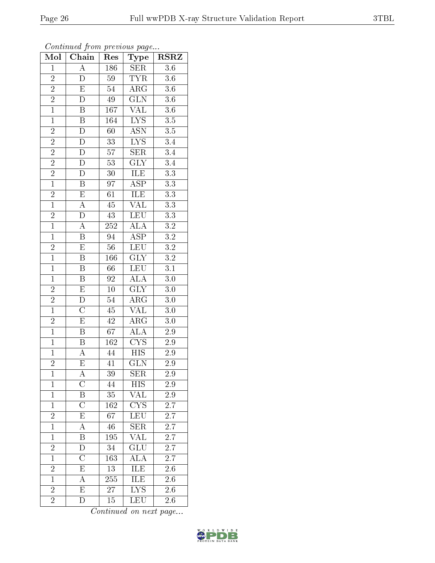| ٠, | τ. | ı |
|----|----|---|
|    |    |   |
|    |    |   |
|    |    |   |

| Mol            | $\overline{\text{Chain}}$ | Res             | Type                            | <b>RSRZ</b>      |
|----------------|---------------------------|-----------------|---------------------------------|------------------|
| $\mathbf{1}$   | $\overline{\rm A}$        | 186             | <b>SER</b>                      | 3.6              |
| $\overline{c}$ | D                         | $59\,$          | <b>TYR</b>                      | $3.6\,$          |
| $\overline{2}$ | $\overline{E}$            | $54\,$          | $\overline{\rm ARG}$            | $3.6\,$          |
| $\overline{2}$ | $\overline{D}$            | $\rm 49$        | $\overline{\text{GLN}}$         | $\overline{3.6}$ |
| $\overline{1}$ | $\overline{\mathrm{B}}$   | 167             | $\overline{\text{VAL}}$         | $\overline{3.6}$ |
| $\mathbf{1}$   | $\, {\bf B}$              | 164             | IYS                             | $\overline{3.5}$ |
| $\overline{2}$ | $\overline{D}$            | 60              | $\overline{\mathrm{ASN}}$       | $3.5\,$          |
| $\overline{2}$ | $\overline{D}$            | 33 <sup>2</sup> | $\overline{\text{LYS}}$         | 3.4              |
| $\overline{2}$ | $\overline{D}$            | $57\,$          | SER                             | $\overline{3.4}$ |
| $\overline{2}$ | $\overline{\rm D}$        | $\overline{53}$ | $\overline{\text{GLY}}$         | $\overline{3.4}$ |
| $\frac{2}{1}$  | $\mathbf D$               | $30\,$          | ILE                             | $\overline{3.3}$ |
|                | $\overline{\mathrm{B}}$   | 97              | $\overline{\rm ASP}$            | $\overline{3.3}$ |
| $\overline{2}$ | $\overline{\mathrm{E}}$   | 61              | ILE                             | $\overline{3.3}$ |
| $\overline{1}$ | $\overline{A}$            | 45              | $\overline{\text{VAL}}$         | $\overline{3.3}$ |
| $\overline{2}$ | $\overline{\rm D}$        | 43              | LEU                             | $\overline{3.3}$ |
| $\overline{1}$ | $\overline{A}$            | $252\,$         | $\overline{\rm ALA}$            | $\overline{3.2}$ |
| $\overline{1}$ | $\overline{\mathrm{B}}$   | $\overline{94}$ | $\overline{\text{ASP}}$         | $\overline{3.2}$ |
| $\overline{2}$ | $\mathbf E$               | $56\,$          | <b>LEU</b>                      | $\overline{3.2}$ |
| $\overline{1}$ | $\boldsymbol{B}$          | 166             | $\overline{\text{GLY}}$         | $\overline{3.2}$ |
| $\overline{1}$ | Β                         | 66              | <b>LEU</b>                      | $\overline{3.1}$ |
| $\overline{1}$ | $\, {\bf B}$              | 92              | $\overline{\text{ALA}}$         | $\overline{3.0}$ |
| $\overline{2}$ | $\overline{\mathrm{E}}$   | $\overline{10}$ | $\overline{\text{GLY}}$         | $\overline{3.0}$ |
| $\overline{2}$ | D                         | $\overline{54}$ | $\overline{\rm{ARG}}$           | $\overline{3.0}$ |
| $\overline{1}$ | $\overline{\rm C}$        | 45              | $\overline{\text{VAL}}$         | $\overline{3.0}$ |
| $\overline{2}$ | $\overline{\mathrm{E}}$   | $42\,$          | $\rm{ARG}$                      | $\overline{3.0}$ |
| $\overline{1}$ | $\overline{\mathrm{B}}$   | 67              | ALA                             | $2.9\,$          |
| $\overline{1}$ | $\overline{\mathrm{B}}$   | 162             | $\overline{\text{CYS}}$         | $2.9\,$          |
| $\overline{1}$ | $\boldsymbol{A}$          | 44              | $\overline{HIS}$                | $2.9\,$          |
| $\overline{2}$ | $\overline{\mathrm{E}}$   | 41              | $\overline{\text{GLN}}$         | $\overline{2.9}$ |
| $\mathbf{1}$   | A                         | 39              | ${\rm SER}$                     | 2.9              |
| $\mathbf{1}$   | $\rm C$                   | 44              | HIS                             | 2.9              |
| $\mathbf{1}$   | $\overline{\mathrm{B}}$   | 35              | $\overline{\text{VAL}}$         | $\overline{2.9}$ |
| $\mathbf{1}$   | $\overline{\rm C}$        | 162             | $\overline{\text{C} \text{YS}}$ | 2.7              |
| $\overline{2}$ | $\overline{\mathrm{E}}$   | $\overline{67}$ | $\overline{\text{LEU}}$         | $\overline{2.7}$ |
| $\mathbf{1}$   | A                         | 46              | <b>SER</b>                      | 2.7              |
| $\overline{1}$ | $\overline{\mathrm{B}}$   | 195             | $\overline{\text{VAL}}$         | $\overline{2.7}$ |
| $\overline{2}$ | D                         | 34              | $\overline{\text{GLU}}$         | $2.\overline{7}$ |
| $\overline{1}$ | $\overline{\rm C}$        | 163             | $\overline{\rm ALA}$            | 2.7              |
| $\overline{c}$ | E                         | 13              | <b>ILE</b>                      | 2.6              |
| $\overline{1}$ | $\boldsymbol{A}$          | 255             | <b>ILE</b>                      | 2.6              |
| $\overline{2}$ | $\overline{\mathrm{E}}$   | 27              | $\overline{\text{LYS}}$         | 2.6              |
| $\overline{2}$ | D                         | 15              | LEU                             | $2.6\,$          |

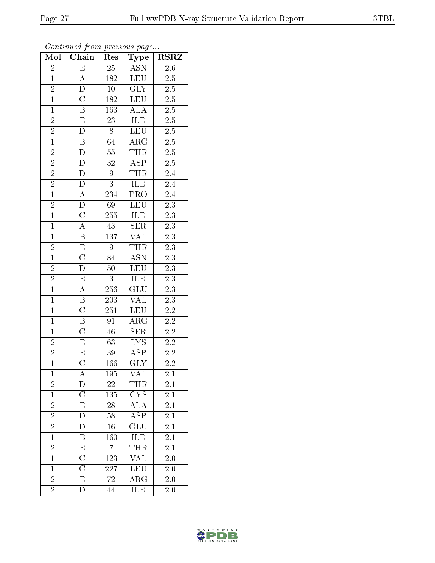| Mol            | Chain                     | Res              | ${\bf Type}$                | $\overline{\text{RSR}}$ |
|----------------|---------------------------|------------------|-----------------------------|-------------------------|
| $\overline{c}$ | $\overline{E}$            | 25               | <b>ASN</b>                  | $\overline{2.6}$        |
| $\mathbf{1}$   | A                         | 182              | <b>LEU</b>                  | $2.5\,$                 |
| $\overline{2}$ | $\overline{\rm D}$        | $\overline{10}$  | $\overline{\text{GLY}}$     | $\overline{2.5}$        |
| $\overline{1}$ | $\overline{\rm C}$        | 182              | <b>LEU</b>                  | $\overline{2.5}$        |
| $\overline{1}$ | $\overline{\mathrm{B}}$   | 163              | $\overline{\rm ALA}$        | $\overline{2.5}$        |
| $\overline{c}$ | E                         | $23\overline{)}$ | ILE                         | $2.5\,$                 |
| $\frac{2}{1}$  | D                         | 8                | <b>LEU</b>                  | $\overline{2.5}$        |
|                | $\overline{\mathbf{B}}$   | $\overline{6}4$  | $\overline{\rm{ARG}}$       | $2.5\,$                 |
| $\overline{2}$ | $\overline{D}$            | $\overline{55}$  | <b>THR</b>                  | $\overline{2.5}$        |
| $\overline{2}$ | $\overline{\rm D}$        | $\overline{32}$  | $\overline{\text{ASP}}$     | $\overline{2.5}$        |
| $\overline{2}$ | D                         | $\boldsymbol{9}$ | THR                         | 2.4                     |
| $\overline{2}$ | $\overline{D}$            | $\overline{3}$   | <b>ILE</b>                  | $\overline{2.4}$        |
| $\overline{1}$ | $\boldsymbol{A}$          | 234              | PRO                         | $\overline{2.4}$        |
| $\overline{2}$ | $\overline{\rm D}$        | $6\overline{9}$  | <b>LEU</b>                  | $\overline{2.3}$        |
| $\overline{1}$ | $\overline{\rm C}$        | 255              | ILE                         | $\overline{2.3}$        |
| $\overline{1}$ | $\overline{\rm A}$        | 43               | <b>SER</b>                  | $\overline{2.3}$        |
| $\overline{1}$ | $\overline{\mathrm{B}}$   | 137              | $\overline{\text{VAL}}$     | $\overline{2.3}$        |
| $\frac{2}{1}$  | $\overline{E}$            | 9                | <b>THR</b>                  | 2.3                     |
|                | $\overline{\text{C}}$     | $8\bar{4}$       | $\overline{\mathrm{ASN}}$   | $\overline{2.3}$        |
| $\overline{2}$ | $\overline{\rm D}$        | $\overline{50}$  | <b>LEU</b>                  | $\overline{2.3}$        |
| $\overline{2}$ | $\mathbf E$               | $\mathbf{3}$     | ILE                         | $2.3\,$                 |
| $\overline{1}$ | $\overline{A}$            | 256              | $\overline{\text{GLU}}$     | $\overline{2.3}$        |
| $\mathbf{1}$   | B                         | 203              | $\overline{\text{VAL}}$     | 2.3                     |
| $\overline{1}$ | $\overline{\rm C}$        | $\overline{251}$ | LEU                         | $\overline{2.2}$        |
| $\mathbf{1}$   | $\overline{\mathbf{B}}$   | 91               | $\rm{ARG}$                  | $\overline{2.2}$        |
| $\overline{1}$ | $\overline{\text{C}}$     | 46               | <b>SER</b>                  | $2.2\,$                 |
| $\overline{2}$ | $\overline{\mathrm{E}}$   | $\overline{63}$  | $\overline{\text{LYS}}$     | $2.\overline{2}$        |
| $\overline{2}$ | $\overline{\mathrm{E}}$   | $39\,$           | <b>ASP</b>                  | $2.2\,$                 |
| $\overline{1}$ | $\overline{\rm C}$        | 166              | $\overline{\text{GLY}}$     | $\overline{2.2}$        |
| $\mathbf{1}$   | А                         | 195              | $V\Lambda\overline{L}$      | $\overline{2.1}$        |
| $\overline{2}$ | D                         | 22               | THR                         | 2.1                     |
| $\overline{1}$ | $\overline{\rm C}$        | 135              | <b>CYS</b>                  | $\overline{2.1}$        |
| $\overline{2}$ | E                         | 28               | $\overline{A\overline{L}A}$ | $2\overline{.1}$        |
| $\overline{2}$ | $\bar{\rm D}$             | 58               | $\overline{\text{ASP}}$     | $\overline{2.1}$        |
| $\frac{2}{1}$  | D                         | 16               | GLU                         | 2.1                     |
|                | B                         | 160              | ILE                         | $\overline{2.1}$        |
| $\frac{2}{1}$  | E                         | 7                | <b>THR</b>                  | 2.1                     |
|                | $\overline{\rm C}$        | <sup>1</sup> 23  | VAL                         | $2.0\,$                 |
| $\mathbf{1}$   | $\overline{\overline{C}}$ | 227              | $\overline{\text{LEU}}$     | $2.0\,$                 |
| $\overline{2}$ | $\mathbf E$               | 72               | $\rm{ARG}$                  | 2.0                     |
| $\overline{2}$ | $\overline{\rm D}$        | 44               | ILE                         | $2.0\,$                 |

Continued from previous page...